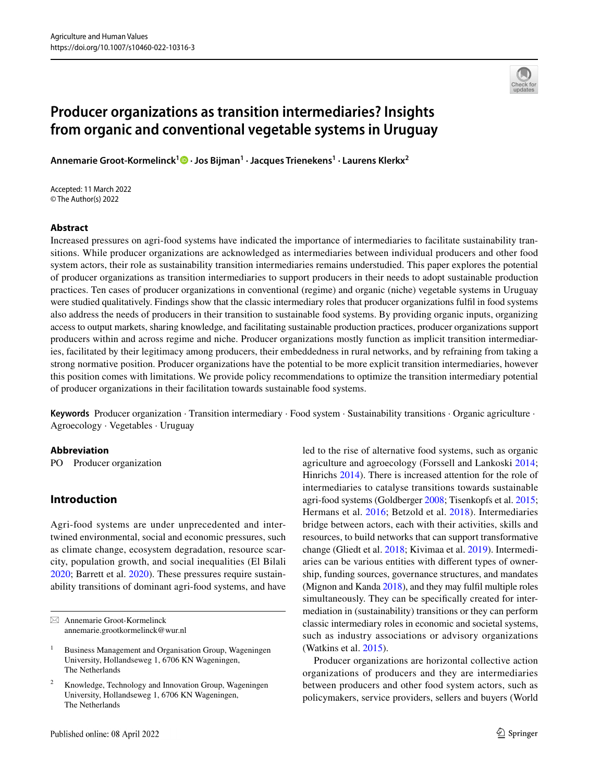

# **Producer organizations as transition intermediaries? Insights from organic and conventional vegetable systems in Uruguay**

**Annemarie Groot‑Kormelinck[1](http://orcid.org/0000-0002-3862-0753) · Jos Bijman1 · Jacques Trienekens1 · Laurens Klerkx2**

Accepted: 11 March 2022 © The Author(s) 2022

### **Abstract**

Increased pressures on agri-food systems have indicated the importance of intermediaries to facilitate sustainability transitions. While producer organizations are acknowledged as intermediaries between individual producers and other food system actors, their role as sustainability transition intermediaries remains understudied. This paper explores the potential of producer organizations as transition intermediaries to support producers in their needs to adopt sustainable production practices. Ten cases of producer organizations in conventional (regime) and organic (niche) vegetable systems in Uruguay were studied qualitatively. Findings show that the classic intermediary roles that producer organizations fulfl in food systems also address the needs of producers in their transition to sustainable food systems. By providing organic inputs, organizing access to output markets, sharing knowledge, and facilitating sustainable production practices, producer organizations support producers within and across regime and niche. Producer organizations mostly function as implicit transition intermediaries, facilitated by their legitimacy among producers, their embeddedness in rural networks, and by refraining from taking a strong normative position. Producer organizations have the potential to be more explicit transition intermediaries, however this position comes with limitations. We provide policy recommendations to optimize the transition intermediary potential of producer organizations in their facilitation towards sustainable food systems.

**Keywords** Producer organization · Transition intermediary · Food system · Sustainability transitions · Organic agriculture · Agroecology · Vegetables · Uruguay

#### **Abbreviation**

PO Producer organization

# **Introduction**

Agri-food systems are under unprecedented and intertwined environmental, social and economic pressures, such as climate change, ecosystem degradation, resource scarcity, population growth, and social inequalities (El Bilali [2020](#page-20-0); Barrett et al. [2020\)](#page-19-0). These pressures require sustainability transitions of dominant agri-food systems, and have led to the rise of alternative food systems, such as organic agriculture and agroecology (Forssell and Lankoski [2014](#page-20-1); Hinrichs [2014](#page-21-0)). There is increased attention for the role of intermediaries to catalyse transitions towards sustainable agri-food systems (Goldberger [2008](#page-20-2); Tisenkopfs et al. [2015](#page-23-0); Hermans et al. [2016](#page-20-3); Betzold et al. [2018](#page-19-1)). Intermediaries bridge between actors, each with their activities, skills and resources, to build networks that can support transformative change (Gliedt et al. [2018](#page-20-4); Kivimaa et al. [2019](#page-21-1)). Intermediaries can be various entities with diferent types of ownership, funding sources, governance structures, and mandates (Mignon and Kanda [2018\)](#page-21-2), and they may fulfl multiple roles simultaneously. They can be specifcally created for intermediation in (sustainability) transitions or they can perform classic intermediary roles in economic and societal systems, such as industry associations or advisory organizations (Watkins et al. [2015](#page-23-1)).

Producer organizations are horizontal collective action organizations of producers and they are intermediaries between producers and other food system actors, such as policymakers, service providers, sellers and buyers (World

 $\boxtimes$  Annemarie Groot-Kormelinck annemarie.grootkormelinck@wur.nl

<sup>&</sup>lt;sup>1</sup> Business Management and Organisation Group, Wageningen University, Hollandseweg 1, 6706 KN Wageningen, The Netherlands

Knowledge, Technology and Innovation Group, Wageningen University, Hollandseweg 1, 6706 KN Wageningen, The Netherlands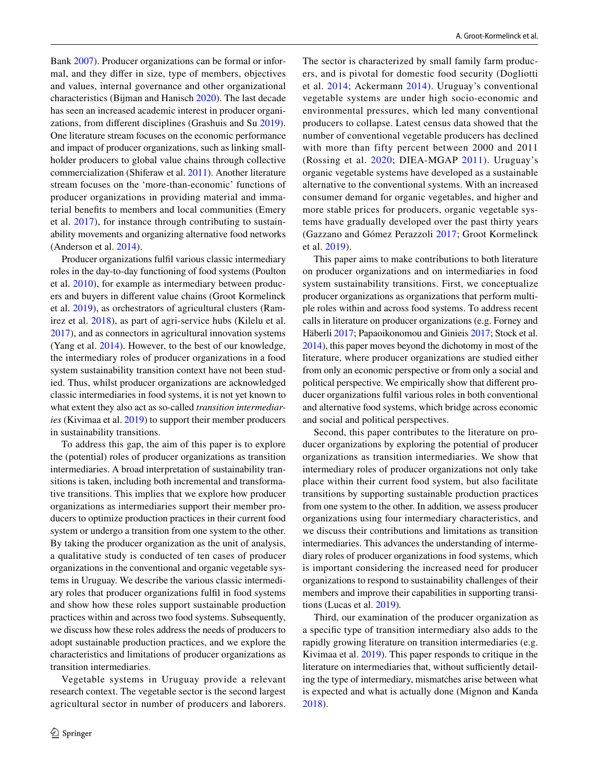Bank [2007\)](#page-23-2). Producer organizations can be formal or informal, and they difer in size, type of members, objectives and values, internal governance and other organizational characteristics (Bijman and Hanisch [2020\)](#page-19-2). The last decade has seen an increased academic interest in producer organizations, from diferent disciplines (Grashuis and Su [2019](#page-20-5)). One literature stream focuses on the economic performance and impact of producer organizations, such as linking smallholder producers to global value chains through collective commercialization (Shiferaw et al. [2011](#page-22-0)). Another literature stream focuses on the 'more-than-economic' functions of producer organizations in providing material and immaterial benefts to members and local communities (Emery et al. [2017](#page-20-6)), for instance through contributing to sustainability movements and organizing alternative food networks (Anderson et al. [2014](#page-19-3)).

Producer organizations fulfl various classic intermediary roles in the day-to-day functioning of food systems (Poulton et al. [2010](#page-22-1)), for example as intermediary between producers and buyers in diferent value chains (Groot Kormelinck et al. [2019\)](#page-20-7), as orchestrators of agricultural clusters (Ramirez et al. [2018\)](#page-22-2), as part of agri-service hubs (Kilelu et al. [2017](#page-21-3)), and as connectors in agricultural innovation systems (Yang et al. [2014\)](#page-23-3). However, to the best of our knowledge, the intermediary roles of producer organizations in a food system sustainability transition context have not been studied. Thus, whilst producer organizations are acknowledged classic intermediaries in food systems, it is not yet known to what extent they also act as so-called *transition intermediaries* (Kivimaa et al. [2019\)](#page-21-1) to support their member producers in sustainability transitions.

To address this gap, the aim of this paper is to explore the (potential) roles of producer organizations as transition intermediaries. A broad interpretation of sustainability transitions is taken, including both incremental and transformative transitions. This implies that we explore how producer organizations as intermediaries support their member producers to optimize production practices in their current food system or undergo a transition from one system to the other. By taking the producer organization as the unit of analysis, a qualitative study is conducted of ten cases of producer organizations in the conventional and organic vegetable systems in Uruguay. We describe the various classic intermediary roles that producer organizations fulfl in food systems and show how these roles support sustainable production practices within and across two food systems. Subsequently, we discuss how these roles address the needs of producers to adopt sustainable production practices, and we explore the characteristics and limitations of producer organizations as transition intermediaries.

Vegetable systems in Uruguay provide a relevant research context. The vegetable sector is the second largest agricultural sector in number of producers and laborers.

The sector is characterized by small family farm producers, and is pivotal for domestic food security (Dogliotti et al. [2014](#page-20-8); Ackermann [2014](#page-19-4)). Uruguay's conventional vegetable systems are under high socio-economic and environmental pressures, which led many conventional producers to collapse. Latest census data showed that the number of conventional vegetable producers has declined with more than fifty percent between 2000 and 2011 (Rossing et al. [2020;](#page-22-3) DIEA-MGAP [2011\)](#page-20-9). Uruguay's organic vegetable systems have developed as a sustainable alternative to the conventional systems. With an increased consumer demand for organic vegetables, and higher and more stable prices for producers, organic vegetable systems have gradually developed over the past thirty years (Gazzano and Gómez Perazzoli [2017](#page-20-10); Groot Kormelinck et al. [2019\)](#page-20-7).

This paper aims to make contributions to both literature on producer organizations and on intermediaries in food system sustainability transitions. First, we conceptualize producer organizations as organizations that perform multiple roles within and across food systems. To address recent calls in literature on producer organizations (e.g. Forney and Häberli [2017;](#page-20-11) Papaoikonomou and Ginieis [2017;](#page-22-4) Stock et al. [2014\)](#page-22-5), this paper moves beyond the dichotomy in most of the literature, where producer organizations are studied either from only an economic perspective or from only a social and political perspective. We empirically show that diferent producer organizations fulfl various roles in both conventional and alternative food systems, which bridge across economic and social and political perspectives.

Second, this paper contributes to the literature on producer organizations by exploring the potential of producer organizations as transition intermediaries. We show that intermediary roles of producer organizations not only take place within their current food system, but also facilitate transitions by supporting sustainable production practices from one system to the other. In addition, we assess producer organizations using four intermediary characteristics, and we discuss their contributions and limitations as transition intermediaries. This advances the understanding of intermediary roles of producer organizations in food systems, which is important considering the increased need for producer organizations to respond to sustainability challenges of their members and improve their capabilities in supporting transitions (Lucas et al. [2019](#page-21-4))*.*

Third, our examination of the producer organization as a specifc type of transition intermediary also adds to the rapidly growing literature on transition intermediaries (e.g. Kivimaa et al. [2019\)](#page-21-1). This paper responds to critique in the literature on intermediaries that, without sufficiently detailing the type of intermediary, mismatches arise between what is expected and what is actually done (Mignon and Kanda [2018](#page-21-2)).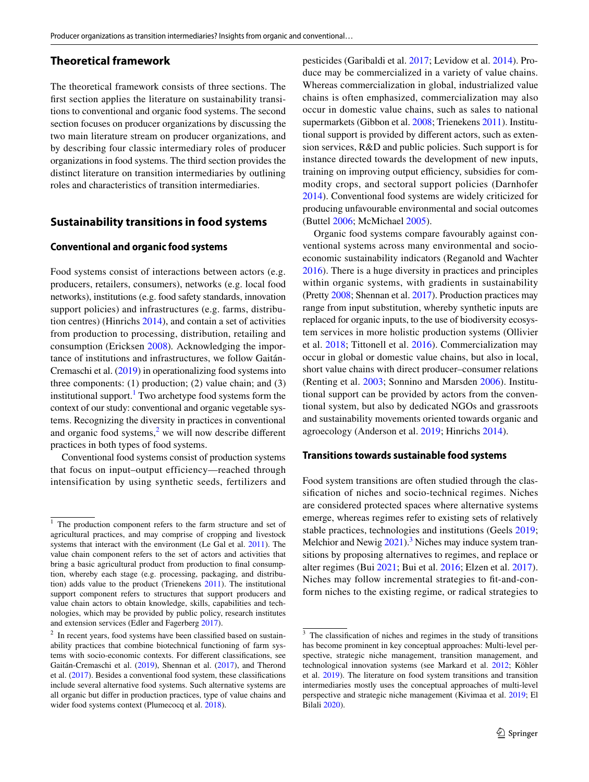# **Theoretical framework**

The theoretical framework consists of three sections. The frst section applies the literature on sustainability transitions to conventional and organic food systems. The second section focuses on producer organizations by discussing the two main literature stream on producer organizations, and by describing four classic intermediary roles of producer organizations in food systems. The third section provides the distinct literature on transition intermediaries by outlining roles and characteristics of transition intermediaries.

## **Sustainability transitions in food systems**

#### **Conventional and organic food systems**

Food systems consist of interactions between actors (e.g. producers, retailers, consumers), networks (e.g. local food networks), institutions (e.g. food safety standards, innovation support policies) and infrastructures (e.g. farms, distribution centres) (Hinrichs [2014](#page-21-0)), and contain a set of activities from production to processing, distribution, retailing and consumption (Ericksen [2008\)](#page-20-12)*.* Acknowledging the importance of institutions and infrastructures, we follow Gaitán-Cremaschi et al. [\(2019](#page-20-13)) in operationalizing food systems into three components: (1) production; (2) value chain; and (3) institutional support.<sup>[1](#page-2-0)</sup> Two archetype food systems form the context of our study: conventional and organic vegetable systems. Recognizing the diversity in practices in conventional and organic food systems, $<sup>2</sup>$  $<sup>2</sup>$  $<sup>2</sup>$  we will now describe different</sup> practices in both types of food systems.

Conventional food systems consist of production systems that focus on input–output efficiency—reached through intensification by using synthetic seeds, fertilizers and pesticides (Garibaldi et al. [2017;](#page-20-14) Levidow et al. [2014\)](#page-21-5). Produce may be commercialized in a variety of value chains. Whereas commercialization in global, industrialized value chains is often emphasized, commercialization may also occur in domestic value chains, such as sales to national supermarkets (Gibbon et al. [2008;](#page-20-15) Trienekens [2011\)](#page-23-4). Institutional support is provided by diferent actors, such as extension services, R&D and public policies. Such support is for instance directed towards the development of new inputs, training on improving output efficiency, subsidies for commodity crops, and sectoral support policies (Darnhofer [2014](#page-19-5)). Conventional food systems are widely criticized for producing unfavourable environmental and social outcomes (Buttel [2006;](#page-19-6) McMichael [2005](#page-21-6)).

Organic food systems compare favourably against conventional systems across many environmental and socioeconomic sustainability indicators (Reganold and Wachter [2016](#page-22-6)). There is a huge diversity in practices and principles within organic systems, with gradients in sustainability (Pretty [2008;](#page-22-7) Shennan et al. [2017\)](#page-22-8). Production practices may range from input substitution, whereby synthetic inputs are replaced for organic inputs, to the use of biodiversity ecosystem services in more holistic production systems (Ollivier et al. [2018;](#page-22-9) Tittonell et al. [2016\)](#page-23-5). Commercialization may occur in global or domestic value chains, but also in local, short value chains with direct producer–consumer relations (Renting et al. [2003;](#page-22-10) Sonnino and Marsden [2006](#page-22-11)). Institutional support can be provided by actors from the conventional system, but also by dedicated NGOs and grassroots and sustainability movements oriented towards organic and agroecology (Anderson et al. [2019;](#page-19-7) Hinrichs [2014\)](#page-21-0).

#### **Transitions towards sustainable food systems**

Food system transitions are often studied through the classifcation of niches and socio-technical regimes. Niches are considered protected spaces where alternative systems emerge, whereas regimes refer to existing sets of relatively stable practices, technologies and institutions (Geels [2019](#page-20-16); Melchior and Newig  $2021$ .<sup>3</sup> Niches may induce system transitions by proposing alternatives to regimes, and replace or alter regimes (Bui [2021](#page-19-8); Bui et al. [2016;](#page-19-9) Elzen et al. [2017](#page-20-17)). Niches may follow incremental strategies to ft-and-conform niches to the existing regime, or radical strategies to

<span id="page-2-0"></span> $1$  The production component refers to the farm structure and set of agricultural practices, and may comprise of cropping and livestock systems that interact with the environment (Le Gal et al. [2011](#page-21-8)). The value chain component refers to the set of actors and activities that bring a basic agricultural product from production to fnal consumption, whereby each stage (e.g. processing, packaging, and distribution) adds value to the product (Trienekens [2011\)](#page-23-4). The institutional support component refers to structures that support producers and value chain actors to obtain knowledge, skills, capabilities and technologies, which may be provided by public policy, research institutes and extension services (Edler and Fagerberg [2017\)](#page-20-18).

<span id="page-2-1"></span><sup>&</sup>lt;sup>2</sup> In recent years, food systems have been classified based on sustainability practices that combine biotechnical functioning of farm systems with socio-economic contexts. For diferent classifcations, see Gaitán-Cremaschi et al. [\(2019](#page-20-13)), Shennan et al. ([2017\)](#page-22-8), and Therond et al. [\(2017](#page-22-12)). Besides a conventional food system, these classifcations include several alternative food systems. Such alternative systems are all organic but difer in production practices, type of value chains and wider food systems context (Plumecocq et al. [2018](#page-22-13)).

<span id="page-2-2"></span><sup>&</sup>lt;sup>3</sup> The classification of niches and regimes in the study of transitions has become prominent in key conceptual approaches: Multi-level perspective, strategic niche management, transition management, and technological innovation systems (see Markard et al. [2012;](#page-21-9) Köhler et al. [2019\)](#page-21-10). The literature on food system transitions and transition intermediaries mostly uses the conceptual approaches of multi-level perspective and strategic niche management (Kivimaa et al. [2019;](#page-21-1) El Bilali [2020](#page-20-0)).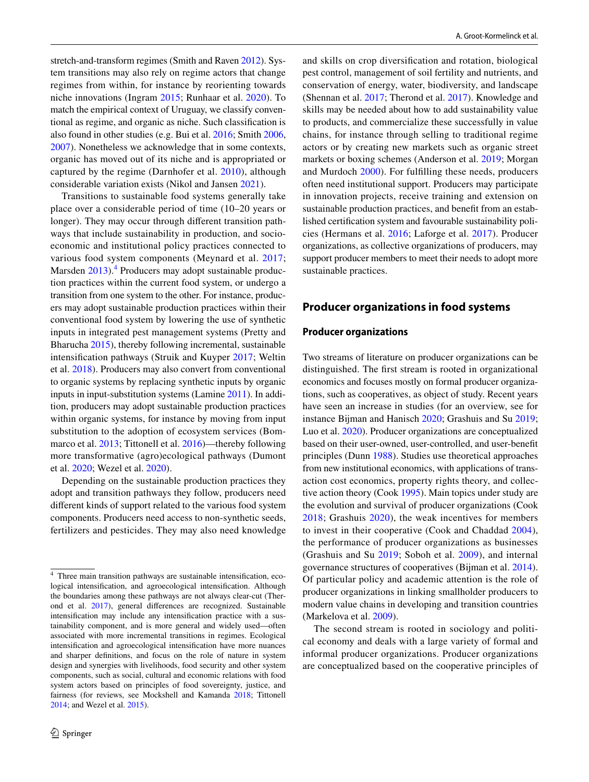stretch-and-transform regimes (Smith and Raven [2012\)](#page-22-14). System transitions may also rely on regime actors that change regimes from within, for instance by reorienting towards niche innovations (Ingram [2015;](#page-21-11) Runhaar et al. [2020](#page-22-15)). To match the empirical context of Uruguay, we classify conventional as regime, and organic as niche. Such classifcation is also found in other studies (e.g. Bui et al. [2016](#page-19-9); Smith [2006,](#page-22-16) [2007](#page-22-17)). Nonetheless we acknowledge that in some contexts, organic has moved out of its niche and is appropriated or captured by the regime (Darnhofer et al. [2010\)](#page-19-10), although considerable variation exists (Nikol and Jansen [2021](#page-22-18)).

Transitions to sustainable food systems generally take place over a considerable period of time (10–20 years or longer). They may occur through diferent transition pathways that include sustainability in production, and socioeconomic and institutional policy practices connected to various food system components (Meynard et al. [2017](#page-21-12); Marsden [2013](#page-21-13)).<sup>[4](#page-3-0)</sup> Producers may adopt sustainable production practices within the current food system, or undergo a transition from one system to the other. For instance, producers may adopt sustainable production practices within their conventional food system by lowering the use of synthetic inputs in integrated pest management systems (Pretty and Bharucha [2015\)](#page-22-19), thereby following incremental, sustainable intensifcation pathways (Struik and Kuyper [2017](#page-22-20); Weltin et al. [2018](#page-23-6)). Producers may also convert from conventional to organic systems by replacing synthetic inputs by organic inputs in input-substitution systems (Lamine [2011\)](#page-21-14). In addition, producers may adopt sustainable production practices within organic systems, for instance by moving from input substitution to the adoption of ecosystem services (Bommarco et al. [2013](#page-19-11); Tittonell et al. [2016](#page-23-5))—thereby following more transformative (agro)ecological pathways (Dumont et al. [2020](#page-20-19); Wezel et al. [2020](#page-23-7)).

Depending on the sustainable production practices they adopt and transition pathways they follow, producers need diferent kinds of support related to the various food system components. Producers need access to non-synthetic seeds, fertilizers and pesticides. They may also need knowledge and skills on crop diversifcation and rotation, biological pest control, management of soil fertility and nutrients, and conservation of energy, water, biodiversity, and landscape (Shennan et al. [2017;](#page-22-8) Therond et al. [2017](#page-22-12)). Knowledge and skills may be needed about how to add sustainability value to products, and commercialize these successfully in value chains, for instance through selling to traditional regime actors or by creating new markets such as organic street markets or boxing schemes (Anderson et al. [2019](#page-19-7); Morgan and Murdoch [2000\)](#page-22-21). For fulflling these needs, producers often need institutional support. Producers may participate in innovation projects, receive training and extension on sustainable production practices, and beneft from an established certifcation system and favourable sustainability policies (Hermans et al. [2016](#page-20-3); Laforge et al. [2017\)](#page-21-15). Producer organizations, as collective organizations of producers, may support producer members to meet their needs to adopt more sustainable practices.

#### **Producer organizations in food systems**

#### **Producer organizations**

Two streams of literature on producer organizations can be distinguished. The frst stream is rooted in organizational economics and focuses mostly on formal producer organizations, such as cooperatives, as object of study. Recent years have seen an increase in studies (for an overview, see for instance Bijman and Hanisch [2020;](#page-19-2) Grashuis and Su [2019](#page-20-5); Luo et al. [2020](#page-21-16)). Producer organizations are conceptualized based on their user-owned, user-controlled, and user-beneft principles (Dunn [1988](#page-20-20)). Studies use theoretical approaches from new institutional economics, with applications of transaction cost economics, property rights theory, and collective action theory (Cook [1995](#page-19-12)). Main topics under study are the evolution and survival of producer organizations (Cook [2018;](#page-19-13) Grashuis [2020\)](#page-20-21), the weak incentives for members to invest in their cooperative (Cook and Chaddad [2004](#page-19-14)), the performance of producer organizations as businesses (Grashuis and Su [2019](#page-20-5); Soboh et al. [2009](#page-22-22)), and internal governance structures of cooperatives (Bijman et al. [2014](#page-19-15)). Of particular policy and academic attention is the role of producer organizations in linking smallholder producers to modern value chains in developing and transition countries (Markelova et al. [2009](#page-21-17)).

The second stream is rooted in sociology and political economy and deals with a large variety of formal and informal producer organizations. Producer organizations are conceptualized based on the cooperative principles of

<span id="page-3-0"></span><sup>4</sup> Three main transition pathways are sustainable intensifcation, ecological intensifcation, and agroecological intensifcation. Although the boundaries among these pathways are not always clear-cut (Therond et al. [2017](#page-22-12)), general diferences are recognized. Sustainable intensifcation may include any intensifcation practice with a sustainability component, and is more general and widely used—often associated with more incremental transitions in regimes. Ecological intensifcation and agroecological intensifcation have more nuances and sharper defnitions, and focus on the role of nature in system design and synergies with livelihoods, food security and other system components, such as social, cultural and economic relations with food system actors based on principles of food sovereignty, justice, and fairness (for reviews, see Mockshell and Kamanda [2018;](#page-21-18) Tittonell [2014](#page-23-8); and Wezel et al. [2015\)](#page-23-9).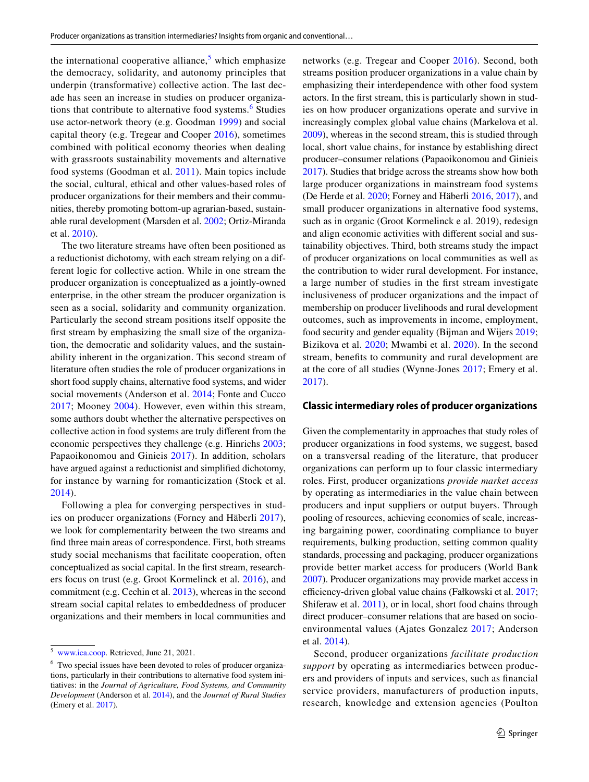the international cooperative alliance, $5$  which emphasize the democracy, solidarity, and autonomy principles that underpin (transformative) collective action. The last decade has seen an increase in studies on producer organiza-tions that contribute to alternative food systems.<sup>[6](#page-4-1)</sup> Studies use actor-network theory (e.g. Goodman [1999](#page-20-22)) and social capital theory (e.g. Tregear and Cooper [2016\)](#page-23-10), sometimes combined with political economy theories when dealing with grassroots sustainability movements and alternative food systems (Goodman et al. [2011](#page-20-23)). Main topics include the social, cultural, ethical and other values-based roles of producer organizations for their members and their communities, thereby promoting bottom-up agrarian-based, sustainable rural development (Marsden et al. [2002](#page-21-19); Ortiz-Miranda et al. [2010](#page-22-23)).

The two literature streams have often been positioned as a reductionist dichotomy, with each stream relying on a different logic for collective action. While in one stream the producer organization is conceptualized as a jointly-owned enterprise, in the other stream the producer organization is seen as a social, solidarity and community organization. Particularly the second stream positions itself opposite the frst stream by emphasizing the small size of the organization, the democratic and solidarity values, and the sustainability inherent in the organization. This second stream of literature often studies the role of producer organizations in short food supply chains, alternative food systems, and wider social movements (Anderson et al. [2014;](#page-19-3) Fonte and Cucco [2017;](#page-20-24) Mooney [2004](#page-22-24)). However, even within this stream, some authors doubt whether the alternative perspectives on collective action in food systems are truly diferent from the economic perspectives they challenge (e.g. Hinrichs [2003](#page-21-20); Papaoikonomou and Ginieis [2017\)](#page-22-4). In addition, scholars have argued against a reductionist and simplifed dichotomy, for instance by warning for romanticization (Stock et al. [2014](#page-22-5)).

Following a plea for converging perspectives in studies on producer organizations (Forney and Häberli [2017](#page-20-11)), we look for complementarity between the two streams and fnd three main areas of correspondence. First, both streams study social mechanisms that facilitate cooperation, often conceptualized as social capital. In the frst stream, researchers focus on trust (e.g. Groot Kormelinck et al. [2016\)](#page-20-25), and commitment (e.g. Cechin et al. [2013](#page-19-16)), whereas in the second stream social capital relates to embeddedness of producer organizations and their members in local communities and networks (e.g. Tregear and Cooper [2016](#page-23-10)). Second, both streams position producer organizations in a value chain by emphasizing their interdependence with other food system actors. In the frst stream, this is particularly shown in studies on how producer organizations operate and survive in increasingly complex global value chains (Markelova et al. [2009](#page-21-17)), whereas in the second stream, this is studied through local, short value chains, for instance by establishing direct producer–consumer relations (Papaoikonomou and Ginieis [2017](#page-22-4)). Studies that bridge across the streams show how both large producer organizations in mainstream food systems (De Herde et al. [2020;](#page-19-17) Forney and Häberli [2016,](#page-20-26) [2017\)](#page-20-11), and small producer organizations in alternative food systems, such as in organic (Groot Kormelinck e al. 2019), redesign and align economic activities with diferent social and sustainability objectives. Third, both streams study the impact of producer organizations on local communities as well as the contribution to wider rural development. For instance, a large number of studies in the frst stream investigate inclusiveness of producer organizations and the impact of membership on producer livelihoods and rural development outcomes, such as improvements in income, employment, food security and gender equality (Bijman and Wijers [2019](#page-19-18); Bizikova et al. [2020;](#page-19-19) Mwambi et al. [2020](#page-22-25)). In the second stream, benefts to community and rural development are at the core of all studies (Wynne-Jones [2017;](#page-23-11) Emery et al. [2017](#page-20-6)).

#### **Classic intermediary roles of producer organizations**

Given the complementarity in approaches that study roles of producer organizations in food systems, we suggest, based on a transversal reading of the literature, that producer organizations can perform up to four classic intermediary roles. First, producer organizations *provide market access* by operating as intermediaries in the value chain between producers and input suppliers or output buyers. Through pooling of resources, achieving economies of scale, increasing bargaining power, coordinating compliance to buyer requirements, bulking production, setting common quality standards, processing and packaging, producer organizations provide better market access for producers (World Bank [2007](#page-23-2)). Producer organizations may provide market access in efficiency-driven global value chains (Fałkowski et al. [2017](#page-20-27); Shiferaw et al. [2011\)](#page-22-0), or in local, short food chains through direct producer–consumer relations that are based on socioenvironmental values (Ajates Gonzalez [2017](#page-19-20); Anderson et al. [2014](#page-19-3)).

Second, producer organizations *facilitate production support* by operating as intermediaries between producers and providers of inputs and services, such as fnancial service providers, manufacturers of production inputs, research, knowledge and extension agencies (Poulton

<span id="page-4-0"></span><sup>5</sup> [www.ica.coop.](http://www.ica.coop) Retrieved, June 21, 2021.

<span id="page-4-1"></span><sup>&</sup>lt;sup>6</sup> Two special issues have been devoted to roles of producer organizations, particularly in their contributions to alternative food system initiatives: in the *Journal of Agriculture, Food Systems, and Community Development* (Anderson et al. [2014\)](#page-19-3), and the *Journal of Rural Studies* (Emery et al. [2017](#page-20-6))*.*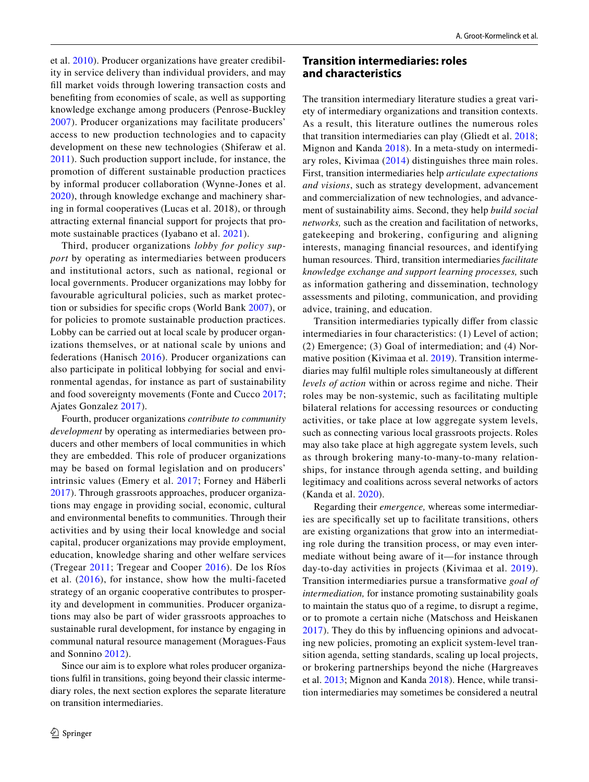et al. [2010](#page-22-1)). Producer organizations have greater credibility in service delivery than individual providers, and may fll market voids through lowering transaction costs and benefting from economies of scale, as well as supporting knowledge exchange among producers (Penrose-Buckley [2007](#page-22-26)). Producer organizations may facilitate producers' access to new production technologies and to capacity development on these new technologies (Shiferaw et al. [2011\)](#page-22-0). Such production support include, for instance, the promotion of diferent sustainable production practices by informal producer collaboration (Wynne-Jones et al. [2020\)](#page-23-12), through knowledge exchange and machinery sharing in formal cooperatives (Lucas et al. 2018), or through attracting external fnancial support for projects that promote sustainable practices (Iyabano et al. [2021](#page-21-21)).

Third, producer organizations *lobby for policy support* by operating as intermediaries between producers and institutional actors, such as national, regional or local governments. Producer organizations may lobby for favourable agricultural policies, such as market protection or subsidies for specifc crops (World Bank [2007](#page-23-2)), or for policies to promote sustainable production practices. Lobby can be carried out at local scale by producer organizations themselves, or at national scale by unions and federations (Hanisch [2016\)](#page-20-28). Producer organizations can also participate in political lobbying for social and environmental agendas, for instance as part of sustainability and food sovereignty movements (Fonte and Cucco [2017](#page-20-24); Ajates Gonzalez [2017\)](#page-19-20).

Fourth, producer organizations *contribute to community development* by operating as intermediaries between producers and other members of local communities in which they are embedded. This role of producer organizations may be based on formal legislation and on producers' intrinsic values (Emery et al. [2017](#page-20-6); Forney and Häberli [2017](#page-20-11)). Through grassroots approaches, producer organizations may engage in providing social, economic, cultural and environmental benefts to communities. Through their activities and by using their local knowledge and social capital, producer organizations may provide employment, education, knowledge sharing and other welfare services (Tregear [2011;](#page-23-13) Tregear and Cooper [2016\)](#page-23-10). De los Ríos et al. ([2016](#page-20-29)), for instance, show how the multi-faceted strategy of an organic cooperative contributes to prosperity and development in communities. Producer organizations may also be part of wider grassroots approaches to sustainable rural development, for instance by engaging in communal natural resource management (Moragues-Faus and Sonnino [2012\)](#page-22-27).

Since our aim is to explore what roles producer organizations fulfl in transitions, going beyond their classic intermediary roles, the next section explores the separate literature on transition intermediaries.

# **Transition intermediaries: roles and characteristics**

The transition intermediary literature studies a great variety of intermediary organizations and transition contexts. As a result, this literature outlines the numerous roles that transition intermediaries can play (Gliedt et al. [2018](#page-20-4); Mignon and Kanda [2018](#page-21-2)). In a meta-study on intermediary roles, Kivimaa ([2014\)](#page-21-22) distinguishes three main roles. First, transition intermediaries help *articulate expectations and visions*, such as strategy development, advancement and commercialization of new technologies, and advancement of sustainability aims. Second, they help *build social networks,* such as the creation and facilitation of networks, gatekeeping and brokering, configuring and aligning interests, managing fnancial resources, and identifying human resources. Third, transition intermediaries *facilitate knowledge exchange and support learning processes,* such as information gathering and dissemination, technology assessments and piloting, communication, and providing advice, training, and education.

Transition intermediaries typically difer from classic intermediaries in four characteristics: (1) Level of action; (2) Emergence; (3) Goal of intermediation; and (4) Normative position (Kivimaa et al. [2019](#page-21-1)). Transition intermediaries may fulfl multiple roles simultaneously at diferent *levels of action* within or across regime and niche. Their roles may be non-systemic, such as facilitating multiple bilateral relations for accessing resources or conducting activities, or take place at low aggregate system levels, such as connecting various local grassroots projects. Roles may also take place at high aggregate system levels, such as through brokering many-to-many-to-many relationships, for instance through agenda setting, and building legitimacy and coalitions across several networks of actors (Kanda et al. [2020\)](#page-21-23).

Regarding their *emergence,* whereas some intermediaries are specifcally set up to facilitate transitions, others are existing organizations that grow into an intermediating role during the transition process, or may even intermediate without being aware of it—for instance through day-to-day activities in projects (Kivimaa et al. [2019](#page-21-1)). Transition intermediaries pursue a transformative *goal of intermediation,* for instance promoting sustainability goals to maintain the status quo of a regime, to disrupt a regime, or to promote a certain niche (Matschoss and Heiskanen [2017\)](#page-21-24). They do this by infuencing opinions and advocating new policies, promoting an explicit system-level transition agenda, setting standards, scaling up local projects, or brokering partnerships beyond the niche (Hargreaves et al. [2013](#page-20-30); Mignon and Kanda [2018](#page-21-2)). Hence, while transition intermediaries may sometimes be considered a neutral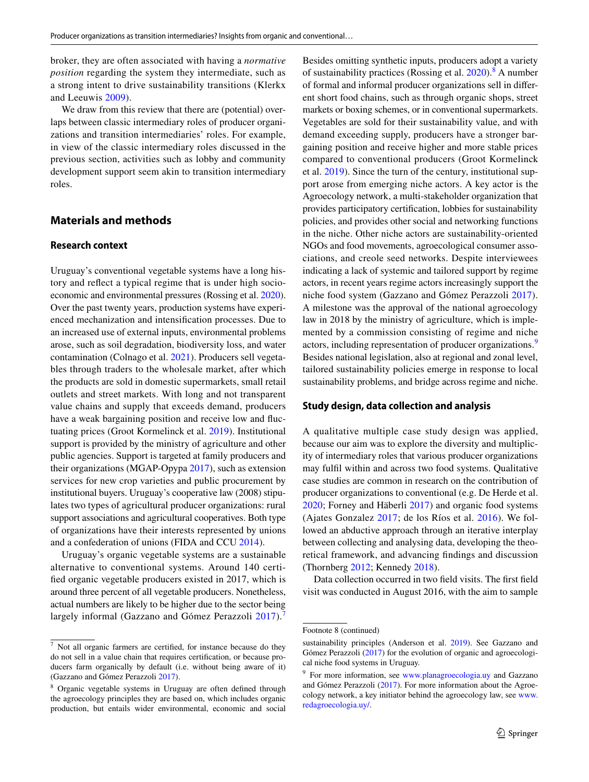broker, they are often associated with having a *normative position* regarding the system they intermediate, such as a strong intent to drive sustainability transitions (Klerkx and Leeuwis [2009](#page-21-25)).

We draw from this review that there are (potential) overlaps between classic intermediary roles of producer organizations and transition intermediaries' roles. For example, in view of the classic intermediary roles discussed in the previous section, activities such as lobby and community development support seem akin to transition intermediary roles.

# **Materials and methods**

#### **Research context**

Uruguay's conventional vegetable systems have a long history and refect a typical regime that is under high socioeconomic and environmental pressures (Rossing et al. [2020](#page-22-3)). Over the past twenty years, production systems have experienced mechanization and intensifcation processes. Due to an increased use of external inputs, environmental problems arose, such as soil degradation, biodiversity loss, and water contamination (Colnago et al. [2021\)](#page-19-21). Producers sell vegetables through traders to the wholesale market, after which the products are sold in domestic supermarkets, small retail outlets and street markets. With long and not transparent value chains and supply that exceeds demand, producers have a weak bargaining position and receive low and fuctuating prices (Groot Kormelinck et al. [2019\)](#page-20-7). Institutional support is provided by the ministry of agriculture and other public agencies. Support is targeted at family producers and their organizations (MGAP-Opypa [2017\)](#page-21-26), such as extension services for new crop varieties and public procurement by institutional buyers. Uruguay's cooperative law (2008) stipulates two types of agricultural producer organizations: rural support associations and agricultural cooperatives. Both type of organizations have their interests represented by unions and a confederation of unions (FIDA and CCU [2014](#page-20-31)).

Uruguay's organic vegetable systems are a sustainable alternative to conventional systems. Around 140 certifed organic vegetable producers existed in 2017, which is around three percent of all vegetable producers. Nonetheless, actual numbers are likely to be higher due to the sector being largely informal (Gazzano and Gómez Perazzoli [2017](#page-20-10)).

Besides omitting synthetic inputs, producers adopt a variety of sustainability practices (Rossing et al. [2020\)](#page-22-3).<sup>[8](#page-6-1)</sup> A number of formal and informal producer organizations sell in diferent short food chains, such as through organic shops, street markets or boxing schemes, or in conventional supermarkets. Vegetables are sold for their sustainability value, and with demand exceeding supply, producers have a stronger bargaining position and receive higher and more stable prices compared to conventional producers (Groot Kormelinck et al. [2019](#page-20-7)). Since the turn of the century, institutional support arose from emerging niche actors. A key actor is the Agroecology network, a multi-stakeholder organization that provides participatory certifcation, lobbies for sustainability policies, and provides other social and networking functions in the niche. Other niche actors are sustainability-oriented NGOs and food movements, agroecological consumer associations, and creole seed networks. Despite interviewees indicating a lack of systemic and tailored support by regime actors, in recent years regime actors increasingly support the niche food system (Gazzano and Gómez Perazzoli [2017](#page-20-10)). A milestone was the approval of the national agroecology law in 2018 by the ministry of agriculture, which is implemented by a commission consisting of regime and niche actors, including representation of producer organizations.<sup>[9](#page-6-2)</sup> Besides national legislation, also at regional and zonal level, tailored sustainability policies emerge in response to local sustainability problems, and bridge across regime and niche.

#### **Study design, data collection and analysis**

A qualitative multiple case study design was applied, because our aim was to explore the diversity and multiplicity of intermediary roles that various producer organizations may fulfl within and across two food systems. Qualitative case studies are common in research on the contribution of producer organizations to conventional (e.g. De Herde et al. [2020](#page-19-17); Forney and Häberli [2017\)](#page-20-11) and organic food systems (Ajates Gonzalez [2017](#page-19-20); de los Ríos et al. [2016\)](#page-20-29). We followed an abductive approach through an iterative interplay between collecting and analysing data, developing the theoretical framework, and advancing fndings and discussion (Thornberg [2012;](#page-23-14) Kennedy [2018](#page-21-27)).

Data collection occurred in two field visits. The first field visit was conducted in August 2016, with the aim to sample

<span id="page-6-0"></span><sup>7</sup> Not all organic farmers are certifed, for instance because do they do not sell in a value chain that requires certifcation, or because producers farm organically by default (i.e. without being aware of it) (Gazzano and Gómez Perazzoli [2017](#page-20-10)).

<span id="page-6-1"></span>Organic vegetable systems in Uruguay are often defined through the agroecology principles they are based on, which includes organic production, but entails wider environmental, economic and social

Footnote 8 (continued)

sustainability principles (Anderson et al. [2019\)](#page-19-7). See Gazzano and Gómez Perazzoli [\(2017](#page-20-10)) for the evolution of organic and agroecological niche food systems in Uruguay.

<span id="page-6-2"></span><sup>9</sup> For more information, see [www.planagroecologia.uy](http://www.planagroecologia.uy) and Gazzano and Gómez Perazzoli ([2017\)](#page-20-10). For more information about the Agroecology network, a key initiator behind the agroecology law, see [www.](http://www.redagroecologia.uy/) [redagroecologia.uy/.](http://www.redagroecologia.uy/)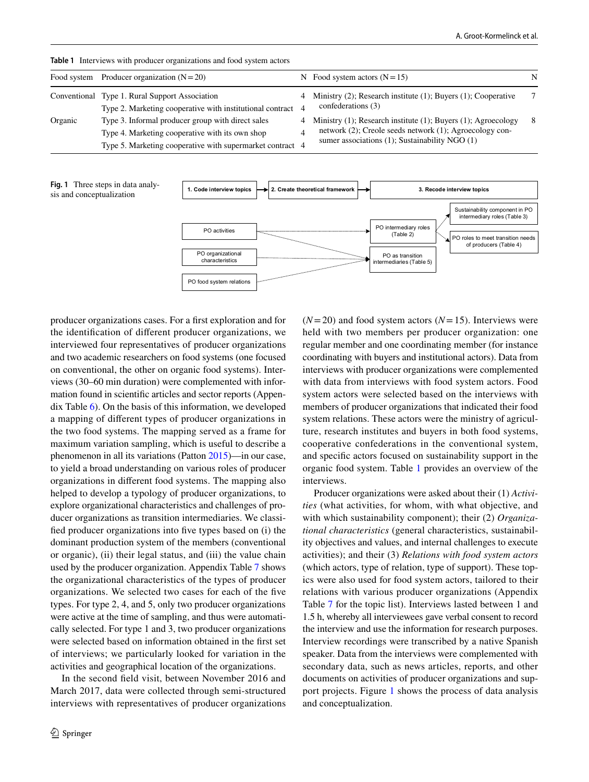|         | Food system Producer organization $(N=20)$                  | N Food system actors $(N=15)$                                   | N  |
|---------|-------------------------------------------------------------|-----------------------------------------------------------------|----|
|         | Conventional Type 1. Rural Support Association              | 4 Ministry (2); Research institute (1); Buyers (1); Cooperative | 7  |
|         | Type 2. Marketing cooperative with institutional contract 4 | confederations (3)                                              |    |
| Organic | Type 3. Informal producer group with direct sales           | 4 Ministry (1); Research institute (1); Buyers (1); Agroecology | -8 |
|         | Type 4. Marketing cooperative with its own shop             | network (2); Creole seeds network (1); Agroecology con-         |    |
|         | Type 5. Marketing cooperative with supermarket contract 4   | sumer associations $(1)$ ; Sustainability NGO $(1)$             |    |

<span id="page-7-0"></span>

<span id="page-7-1"></span>

producer organizations cases. For a frst exploration and for the identifcation of diferent producer organizations, we interviewed four representatives of producer organizations and two academic researchers on food systems (one focused on conventional, the other on organic food systems). Interviews (30–60 min duration) were complemented with information found in scientifc articles and sector reports (Appendix Table [6\)](#page-17-0). On the basis of this information, we developed a mapping of diferent types of producer organizations in the two food systems. The mapping served as a frame for maximum variation sampling, which is useful to describe a phenomenon in all its variations (Patton [2015\)](#page-22-28)—in our case, to yield a broad understanding on various roles of producer organizations in diferent food systems. The mapping also helped to develop a typology of producer organizations, to explore organizational characteristics and challenges of producer organizations as transition intermediaries. We classifed producer organizations into fve types based on (i) the dominant production system of the members (conventional or organic), (ii) their legal status, and (iii) the value chain used by the producer organization. Appendix Table [7](#page-18-0) shows the organizational characteristics of the types of producer organizations. We selected two cases for each of the fve types. For type 2, 4, and 5, only two producer organizations were active at the time of sampling, and thus were automatically selected. For type 1 and 3, two producer organizations were selected based on information obtained in the frst set of interviews; we particularly looked for variation in the activities and geographical location of the organizations.

In the second feld visit, between November 2016 and March 2017, data were collected through semi-structured interviews with representatives of producer organizations  $(N=20)$  and food system actors  $(N=15)$ . Interviews were held with two members per producer organization: one regular member and one coordinating member (for instance coordinating with buyers and institutional actors). Data from interviews with producer organizations were complemented with data from interviews with food system actors. Food system actors were selected based on the interviews with members of producer organizations that indicated their food system relations. These actors were the ministry of agriculture, research institutes and buyers in both food systems, cooperative confederations in the conventional system, and specifc actors focused on sustainability support in the organic food system. Table [1](#page-7-0) provides an overview of the interviews.

Producer organizations were asked about their (1) *Activities* (what activities, for whom, with what objective, and with which sustainability component); their (2) *Organizational characteristics* (general characteristics, sustainability objectives and values, and internal challenges to execute activities); and their (3) *Relations with food system actors* (which actors, type of relation, type of support). These topics were also used for food system actors, tailored to their relations with various producer organizations (Appendix Table [7](#page-18-1) for the topic list). Interviews lasted between 1 and 1.5 h, whereby all interviewees gave verbal consent to record the interview and use the information for research purposes. Interview recordings were transcribed by a native Spanish speaker. Data from the interviews were complemented with secondary data, such as news articles, reports, and other documents on activities of producer organizations and support projects. Figure [1](#page-7-1) shows the process of data analysis and conceptualization.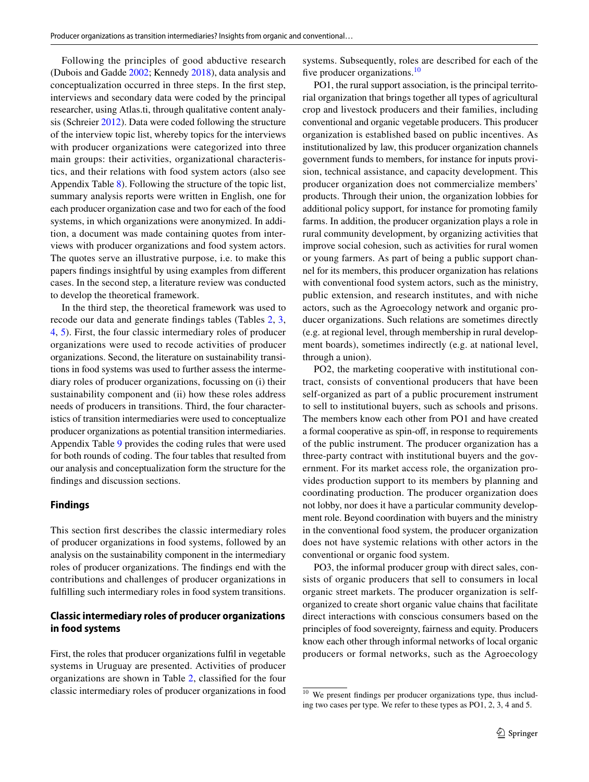Following the principles of good abductive research (Dubois and Gadde [2002](#page-20-32); Kennedy [2018\)](#page-21-27), data analysis and conceptualization occurred in three steps. In the frst step, interviews and secondary data were coded by the principal researcher, using Atlas.ti, through qualitative content analysis (Schreier [2012](#page-22-29)). Data were coded following the structure of the interview topic list, whereby topics for the interviews with producer organizations were categorized into three main groups: their activities, organizational characteristics, and their relations with food system actors (also see Appendix Table [8\)](#page-18-1). Following the structure of the topic list, summary analysis reports were written in English, one for each producer organization case and two for each of the food systems, in which organizations were anonymized. In addition, a document was made containing quotes from interviews with producer organizations and food system actors. The quotes serve an illustrative purpose, i.e. to make this papers fndings insightful by using examples from diferent cases. In the second step, a literature review was conducted to develop the theoretical framework.

In the third step, the theoretical framework was used to recode our data and generate fndings tables (Tables [2,](#page-9-0) [3,](#page-10-0) [4](#page-12-0), [5\)](#page-14-0). First, the four classic intermediary roles of producer organizations were used to recode activities of producer organizations. Second, the literature on sustainability transitions in food systems was used to further assess the intermediary roles of producer organizations, focussing on (i) their sustainability component and (ii) how these roles address needs of producers in transitions. Third, the four characteristics of transition intermediaries were used to conceptualize producer organizations as potential transition intermediaries. Appendix Table [9](#page-18-2) provides the coding rules that were used for both rounds of coding. The four tables that resulted from our analysis and conceptualization form the structure for the fndings and discussion sections.

#### **Findings**

This section frst describes the classic intermediary roles of producer organizations in food systems, followed by an analysis on the sustainability component in the intermediary roles of producer organizations. The fndings end with the contributions and challenges of producer organizations in fulflling such intermediary roles in food system transitions.

# **Classic intermediary roles of producer organizations in food systems**

First, the roles that producer organizations fulfl in vegetable systems in Uruguay are presented. Activities of producer organizations are shown in Table [2,](#page-9-0) classifed for the four classic intermediary roles of producer organizations in food systems. Subsequently, roles are described for each of the five producer organizations. $^{10}$  $^{10}$  $^{10}$ 

PO1, the rural support association, is the principal territorial organization that brings together all types of agricultural crop and livestock producers and their families, including conventional and organic vegetable producers. This producer organization is established based on public incentives. As institutionalized by law, this producer organization channels government funds to members, for instance for inputs provision, technical assistance, and capacity development. This producer organization does not commercialize members' products. Through their union, the organization lobbies for additional policy support, for instance for promoting family farms. In addition, the producer organization plays a role in rural community development, by organizing activities that improve social cohesion, such as activities for rural women or young farmers. As part of being a public support channel for its members, this producer organization has relations with conventional food system actors, such as the ministry, public extension, and research institutes, and with niche actors, such as the Agroecology network and organic producer organizations. Such relations are sometimes directly (e.g. at regional level, through membership in rural development boards), sometimes indirectly (e.g. at national level, through a union).

PO2, the marketing cooperative with institutional contract, consists of conventional producers that have been self-organized as part of a public procurement instrument to sell to institutional buyers, such as schools and prisons. The members know each other from PO1 and have created a formal cooperative as spin-off, in response to requirements of the public instrument. The producer organization has a three-party contract with institutional buyers and the government. For its market access role, the organization provides production support to its members by planning and coordinating production. The producer organization does not lobby, nor does it have a particular community development role. Beyond coordination with buyers and the ministry in the conventional food system, the producer organization does not have systemic relations with other actors in the conventional or organic food system.

PO3, the informal producer group with direct sales, consists of organic producers that sell to consumers in local organic street markets. The producer organization is selforganized to create short organic value chains that facilitate direct interactions with conscious consumers based on the principles of food sovereignty, fairness and equity. Producers know each other through informal networks of local organic producers or formal networks, such as the Agroecology

<span id="page-8-0"></span><sup>&</sup>lt;sup>10</sup> We present findings per producer organizations type, thus including two cases per type. We refer to these types as PO1, 2, 3, 4 and 5.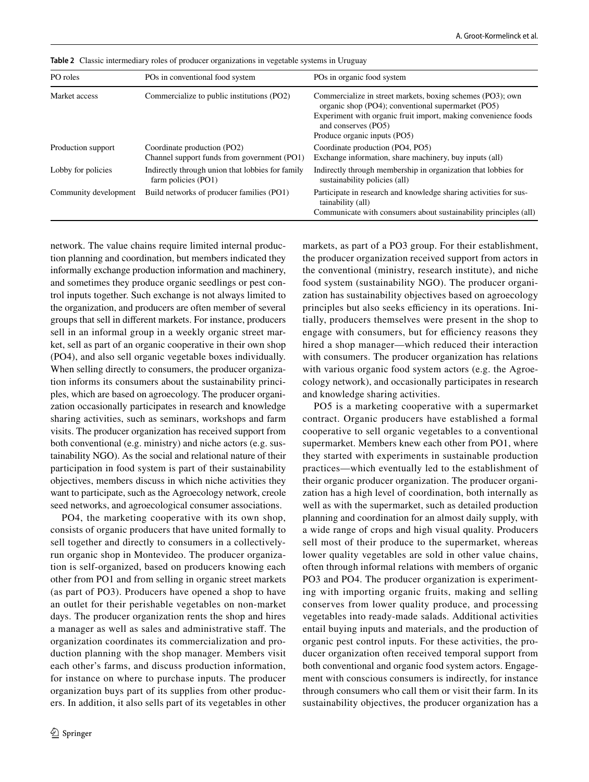| PO roles              | POs in conventional food system                                         | POs in organic food system                                                                                                                                                                                |
|-----------------------|-------------------------------------------------------------------------|-----------------------------------------------------------------------------------------------------------------------------------------------------------------------------------------------------------|
| Market access         | Commercialize to public institutions (PO2)                              | Commercialize in street markets, boxing schemes (PO3); own<br>organic shop (PO4); conventional supermarket (PO5)<br>Experiment with organic fruit import, making convenience foods<br>and conserves (PO5) |
|                       |                                                                         | Produce organic inputs (PO5)                                                                                                                                                                              |
| Production support    | Coordinate production (PO2)                                             | Coordinate production (PO4, PO5)                                                                                                                                                                          |
|                       | Channel support funds from government (PO1)                             | Exchange information, share machinery, buy inputs (all)                                                                                                                                                   |
| Lobby for policies    | Indirectly through union that lobbies for family<br>farm policies (PO1) | Indirectly through membership in organization that lobbies for<br>sustainability policies (all)                                                                                                           |
| Community development | Build networks of producer families (PO1)                               | Participate in research and knowledge sharing activities for sus-<br>tainability (all)<br>Communicate with consumers about sustainability principles (all)                                                |

<span id="page-9-0"></span>**Table 2** Classic intermediary roles of producer organizations in vegetable systems in Uruguay

network. The value chains require limited internal production planning and coordination, but members indicated they informally exchange production information and machinery, and sometimes they produce organic seedlings or pest control inputs together. Such exchange is not always limited to the organization, and producers are often member of several groups that sell in diferent markets. For instance, producers sell in an informal group in a weekly organic street market, sell as part of an organic cooperative in their own shop (PO4), and also sell organic vegetable boxes individually. When selling directly to consumers, the producer organization informs its consumers about the sustainability principles, which are based on agroecology. The producer organization occasionally participates in research and knowledge sharing activities, such as seminars, workshops and farm visits. The producer organization has received support from both conventional (e.g. ministry) and niche actors (e.g. sustainability NGO). As the social and relational nature of their participation in food system is part of their sustainability objectives, members discuss in which niche activities they want to participate, such as the Agroecology network, creole seed networks, and agroecological consumer associations.

PO4, the marketing cooperative with its own shop, consists of organic producers that have united formally to sell together and directly to consumers in a collectivelyrun organic shop in Montevideo. The producer organization is self-organized, based on producers knowing each other from PO1 and from selling in organic street markets (as part of PO3). Producers have opened a shop to have an outlet for their perishable vegetables on non-market days. The producer organization rents the shop and hires a manager as well as sales and administrative staf. The organization coordinates its commercialization and production planning with the shop manager. Members visit each other's farms, and discuss production information, for instance on where to purchase inputs. The producer organization buys part of its supplies from other producers. In addition, it also sells part of its vegetables in other markets, as part of a PO3 group. For their establishment, the producer organization received support from actors in the conventional (ministry, research institute), and niche food system (sustainability NGO). The producer organization has sustainability objectives based on agroecology principles but also seeks efficiency in its operations. Initially, producers themselves were present in the shop to engage with consumers, but for efficiency reasons they hired a shop manager—which reduced their interaction with consumers. The producer organization has relations with various organic food system actors (e.g. the Agroecology network), and occasionally participates in research and knowledge sharing activities.

PO5 is a marketing cooperative with a supermarket contract. Organic producers have established a formal cooperative to sell organic vegetables to a conventional supermarket. Members knew each other from PO1, where they started with experiments in sustainable production practices—which eventually led to the establishment of their organic producer organization. The producer organization has a high level of coordination, both internally as well as with the supermarket, such as detailed production planning and coordination for an almost daily supply, with a wide range of crops and high visual quality. Producers sell most of their produce to the supermarket, whereas lower quality vegetables are sold in other value chains, often through informal relations with members of organic PO3 and PO4. The producer organization is experimenting with importing organic fruits, making and selling conserves from lower quality produce, and processing vegetables into ready-made salads. Additional activities entail buying inputs and materials, and the production of organic pest control inputs. For these activities, the producer organization often received temporal support from both conventional and organic food system actors. Engagement with conscious consumers is indirectly, for instance through consumers who call them or visit their farm. In its sustainability objectives, the producer organization has a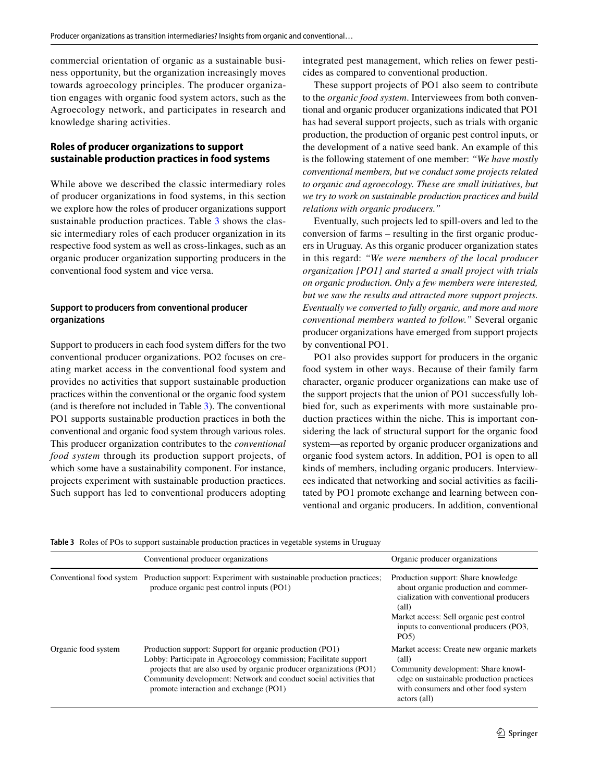commercial orientation of organic as a sustainable business opportunity, but the organization increasingly moves towards agroecology principles. The producer organization engages with organic food system actors, such as the Agroecology network, and participates in research and knowledge sharing activities.

## **Roles of producer organizations to support sustainable production practices in food systems**

While above we described the classic intermediary roles of producer organizations in food systems, in this section we explore how the roles of producer organizations support sustainable production practices. Table [3](#page-10-0) shows the classic intermediary roles of each producer organization in its respective food system as well as cross-linkages, such as an organic producer organization supporting producers in the conventional food system and vice versa.

# **Support to producers from conventional producer organizations**

Support to producers in each food system difers for the two conventional producer organizations. PO2 focuses on creating market access in the conventional food system and provides no activities that support sustainable production practices within the conventional or the organic food system (and is therefore not included in Table [3](#page-10-0)). The conventional PO1 supports sustainable production practices in both the conventional and organic food system through various roles. This producer organization contributes to the *conventional food system* through its production support projects, of which some have a sustainability component. For instance, projects experiment with sustainable production practices. Such support has led to conventional producers adopting integrated pest management, which relies on fewer pesticides as compared to conventional production.

These support projects of PO1 also seem to contribute to the *organic food system*. Interviewees from both conventional and organic producer organizations indicated that PO1 has had several support projects, such as trials with organic production, the production of organic pest control inputs, or the development of a native seed bank. An example of this is the following statement of one member: *"We have mostly conventional members, but we conduct some projects related to organic and agroecology. These are small initiatives, but we try to work on sustainable production practices and build relations with organic producers."*

Eventually, such projects led to spill-overs and led to the conversion of farms – resulting in the frst organic producers in Uruguay. As this organic producer organization states in this regard: *"We were members of the local producer organization [PO1] and started a small project with trials on organic production. Only a few members were interested, but we saw the results and attracted more support projects. Eventually we converted to fully organic, and more and more conventional members wanted to follow."* Several organic producer organizations have emerged from support projects by conventional PO1.

PO1 also provides support for producers in the organic food system in other ways. Because of their family farm character, organic producer organizations can make use of the support projects that the union of PO1 successfully lobbied for, such as experiments with more sustainable production practices within the niche. This is important considering the lack of structural support for the organic food system—as reported by organic producer organizations and organic food system actors. In addition, PO1 is open to all kinds of members, including organic producers. Interviewees indicated that networking and social activities as facilitated by PO1 promote exchange and learning between conventional and organic producers. In addition, conventional

<span id="page-10-0"></span>**Table 3** Roles of POs to support sustainable production practices in vegetable systems in Uruguay

|                     | Conventional producer organizations                                                                                                                                                                                                                                                                                | Organic producer organizations                                                                                                                                                                                               |
|---------------------|--------------------------------------------------------------------------------------------------------------------------------------------------------------------------------------------------------------------------------------------------------------------------------------------------------------------|------------------------------------------------------------------------------------------------------------------------------------------------------------------------------------------------------------------------------|
|                     | Conventional food system Production support: Experiment with sustainable production practices;<br>produce organic pest control inputs (PO1)                                                                                                                                                                        | Production support: Share knowledge<br>about organic production and commer-<br>cialization with conventional producers<br>(all)<br>Market access: Sell organic pest control<br>inputs to conventional producers (PO3,<br>PO5 |
| Organic food system | Production support: Support for organic production (PO1)<br>Lobby: Participate in Agroecology commission; Facilitate support<br>projects that are also used by organic producer organizations (PO1)<br>Community development: Network and conduct social activities that<br>promote interaction and exchange (PO1) | Market access: Create new organic markets<br>$\text{(all)}$<br>Community development: Share knowl-<br>edge on sustainable production practices<br>with consumers and other food system<br>actors (all)                       |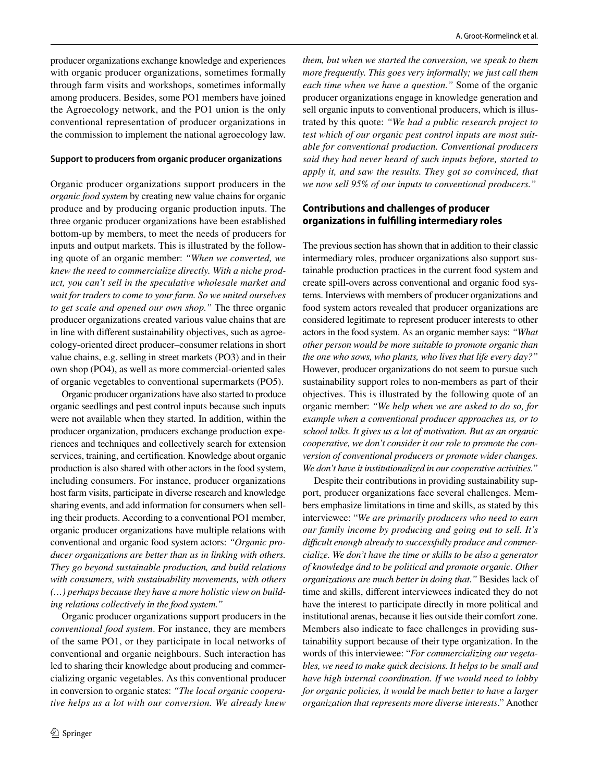producer organizations exchange knowledge and experiences with organic producer organizations, sometimes formally through farm visits and workshops, sometimes informally among producers. Besides, some PO1 members have joined the Agroecology network, and the PO1 union is the only conventional representation of producer organizations in the commission to implement the national agroecology law.

#### **Support to producers from organic producer organizations**

Organic producer organizations support producers in the *organic food system* by creating new value chains for organic produce and by producing organic production inputs. The three organic producer organizations have been established bottom-up by members, to meet the needs of producers for inputs and output markets. This is illustrated by the following quote of an organic member: *"When we converted, we knew the need to commercialize directly. With a niche product, you can't sell in the speculative wholesale market and wait for traders to come to your farm. So we united ourselves to get scale and opened our own shop."* The three organic producer organizations created various value chains that are in line with diferent sustainability objectives, such as agroecology-oriented direct producer–consumer relations in short value chains, e.g. selling in street markets (PO3) and in their own shop (PO4), as well as more commercial-oriented sales of organic vegetables to conventional supermarkets (PO5).

Organic producer organizations have also started to produce organic seedlings and pest control inputs because such inputs were not available when they started. In addition, within the producer organization, producers exchange production experiences and techniques and collectively search for extension services, training, and certifcation. Knowledge about organic production is also shared with other actors in the food system, including consumers. For instance, producer organizations host farm visits, participate in diverse research and knowledge sharing events, and add information for consumers when selling their products. According to a conventional PO1 member, organic producer organizations have multiple relations with conventional and organic food system actors: *"Organic producer organizations are better than us in linking with others. They go beyond sustainable production, and build relations with consumers, with sustainability movements, with others (…) perhaps because they have a more holistic view on building relations collectively in the food system."*

Organic producer organizations support producers in the *conventional food system*. For instance, they are members of the same PO1, or they participate in local networks of conventional and organic neighbours. Such interaction has led to sharing their knowledge about producing and commercializing organic vegetables. As this conventional producer in conversion to organic states: *"The local organic cooperative helps us a lot with our conversion. We already knew* 

*them, but when we started the conversion, we speak to them more frequently. This goes very informally; we just call them each time when we have a question."* Some of the organic producer organizations engage in knowledge generation and sell organic inputs to conventional producers, which is illustrated by this quote: *"We had a public research project to test which of our organic pest control inputs are most suitable for conventional production. Conventional producers said they had never heard of such inputs before, started to apply it, and saw the results. They got so convinced, that we now sell 95% of our inputs to conventional producers."*

## **Contributions and challenges of producer organizations in fulflling intermediary roles**

The previous section has shown that in addition to their classic intermediary roles, producer organizations also support sustainable production practices in the current food system and create spill-overs across conventional and organic food systems. Interviews with members of producer organizations and food system actors revealed that producer organizations are considered legitimate to represent producer interests to other actors in the food system. As an organic member says: *"What other person would be more suitable to promote organic than the one who sows, who plants, who lives that life every day?"* However, producer organizations do not seem to pursue such sustainability support roles to non-members as part of their objectives. This is illustrated by the following quote of an organic member: *"We help when we are asked to do so, for example when a conventional producer approaches us, or to school talks. It gives us a lot of motivation. But as an organic cooperative, we don't consider it our role to promote the conversion of conventional producers or promote wider changes. We don't have it institutionalized in our cooperative activities."*

Despite their contributions in providing sustainability support, producer organizations face several challenges. Members emphasize limitations in time and skills, as stated by this interviewee: "*We are primarily producers who need to earn our family income by producing and going out to sell. It's difcult enough already to successfully produce and commercialize. We don't have the time or skills to be also a generator of knowledge ánd to be political and promote organic. Other organizations are much better in doing that."* Besides lack of time and skills, diferent interviewees indicated they do not have the interest to participate directly in more political and institutional arenas, because it lies outside their comfort zone. Members also indicate to face challenges in providing sustainability support because of their type organization. In the words of this interviewee: "*For commercializing our vegetables, we need to make quick decisions. It helps to be small and have high internal coordination. If we would need to lobby for organic policies, it would be much better to have a larger organization that represents more diverse interests*." Another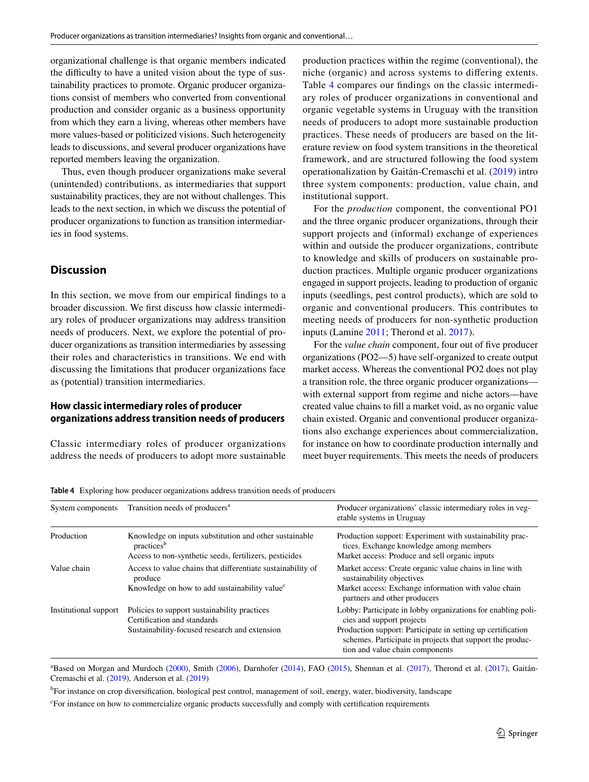organizational challenge is that organic members indicated the difficulty to have a united vision about the type of sustainability practices to promote. Organic producer organizations consist of members who converted from conventional production and consider organic as a business opportunity from which they earn a living, whereas other members have more values-based or politicized visions. Such heterogeneity leads to discussions, and several producer organizations have reported members leaving the organization.

Thus, even though producer organizations make several (unintended) contributions, as intermediaries that support sustainability practices, they are not without challenges. This leads to the next section, in which we discuss the potential of producer organizations to function as transition intermediaries in food systems.

# **Discussion**

In this section, we move from our empirical fndings to a broader discussion. We frst discuss how classic intermediary roles of producer organizations may address transition needs of producers. Next, we explore the potential of producer organizations as transition intermediaries by assessing their roles and characteristics in transitions. We end with discussing the limitations that producer organizations face as (potential) transition intermediaries.

#### **How classic intermediary roles of producer organizations address transition needs of producers**

Classic intermediary roles of producer organizations address the needs of producers to adopt more sustainable production practices within the regime (conventional), the niche (organic) and across systems to difering extents. Table [4](#page-12-0) compares our fndings on the classic intermediary roles of producer organizations in conventional and organic vegetable systems in Uruguay with the transition needs of producers to adopt more sustainable production practices. These needs of producers are based on the literature review on food system transitions in the theoretical framework, and are structured following the food system operationalization by Gaitán-Cremaschi et al. ([2019\)](#page-20-13) intro three system components: production, value chain, and institutional support.

For the *production* component, the conventional PO1 and the three organic producer organizations, through their support projects and (informal) exchange of experiences within and outside the producer organizations, contribute to knowledge and skills of producers on sustainable production practices. Multiple organic producer organizations engaged in support projects, leading to production of organic inputs (seedlings, pest control products), which are sold to organic and conventional producers. This contributes to meeting needs of producers for non-synthetic production inputs (Lamine [2011](#page-21-14); Therond et al. [2017](#page-22-12)).

For the *value chain* component, four out of five producer organizations (PO2—5) have self-organized to create output market access. Whereas the conventional PO2 does not play a transition role, the three organic producer organizations with external support from regime and niche actors—have created value chains to fll a market void, as no organic value chain existed. Organic and conventional producer organizations also exchange experiences about commercialization, for instance on how to coordinate production internally and meet buyer requirements. This meets the needs of producers

<span id="page-12-0"></span>**Table 4** Exploring how producer organizations address transition needs of producers

| System components     | Transition needs of producers <sup>a</sup>                                       | Producer organizations' classic intermediary roles in yeg-<br>etable systems in Uruguay                                                                     |
|-----------------------|----------------------------------------------------------------------------------|-------------------------------------------------------------------------------------------------------------------------------------------------------------|
| Production            | Knowledge on inputs substitution and other sustainable<br>practices <sup>b</sup> | Production support: Experiment with sustainability prac-<br>tices. Exchange knowledge among members                                                         |
|                       | Access to non-synthetic seeds, fertilizers, pesticides                           | Market access: Produce and sell organic inputs                                                                                                              |
| Value chain           | Access to value chains that differentiate sustainability of<br>produce           | Market access: Create organic value chains in line with<br>sustainability objectives                                                                        |
|                       | Knowledge on how to add sustainability value <sup>c</sup>                        | Market access: Exchange information with value chain<br>partners and other producers                                                                        |
| Institutional support | Policies to support sustainability practices<br>Certification and standards      | Lobby: Participate in lobby organizations for enabling poli-<br>cies and support projects                                                                   |
|                       | Sustainability-focused research and extension                                    | Production support: Participate in setting up certification<br>schemes. Participate in projects that support the produc-<br>tion and value chain components |

<sup>a</sup>Based on Morgan and Murdoch ([2000\)](#page-22-21), Smith ([2006\)](#page-22-16), Darnhofer [\(2014](#page-19-5)), FAO [\(2015](#page-20-33)), Shennan et al. [\(2017](#page-22-8)), Therond et al. ([2017\)](#page-22-12), Gaitán-Cremaschi et al. ([2019\)](#page-20-13), Anderson et al. [\(2019](#page-19-7))

b For instance on crop diversifcation, biological pest control, management of soil, energy, water, biodiversity, landscape

c For instance on how to commercialize organic products successfully and comply with certifcation requirements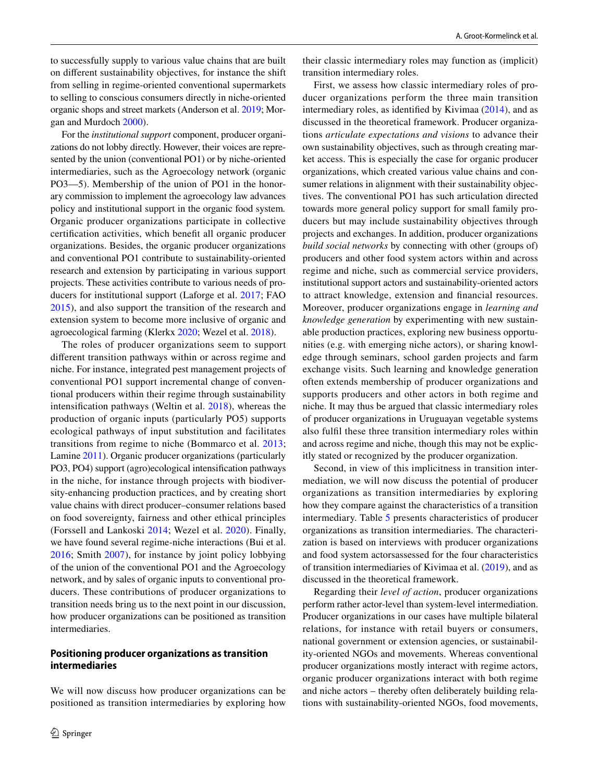to successfully supply to various value chains that are built on diferent sustainability objectives, for instance the shift from selling in regime-oriented conventional supermarkets to selling to conscious consumers directly in niche-oriented organic shops and street markets (Anderson et al. [2019](#page-19-7); Morgan and Murdoch [2000](#page-22-21)).

For the *institutional support* component, producer organizations do not lobby directly. However, their voices are represented by the union (conventional PO1) or by niche-oriented intermediaries, such as the Agroecology network (organic PO3—5). Membership of the union of PO1 in the honorary commission to implement the agroecology law advances policy and institutional support in the organic food system*.* Organic producer organizations participate in collective certifcation activities, which beneft all organic producer organizations. Besides, the organic producer organizations and conventional PO1 contribute to sustainability-oriented research and extension by participating in various support projects. These activities contribute to various needs of producers for institutional support (Laforge et al. [2017;](#page-21-15) FAO [2015](#page-20-33)), and also support the transition of the research and extension system to become more inclusive of organic and agroecological farming (Klerkx [2020;](#page-21-28) Wezel et al. [2018\)](#page-23-15).

The roles of producer organizations seem to support diferent transition pathways within or across regime and niche. For instance, integrated pest management projects of conventional PO1 support incremental change of conventional producers within their regime through sustainability intensifcation pathways (Weltin et al. [2018](#page-23-6)), whereas the production of organic inputs (particularly PO5) supports ecological pathways of input substitution and facilitates transitions from regime to niche (Bommarco et al. [2013](#page-19-11); Lamine [2011\)](#page-21-14). Organic producer organizations (particularly PO3, PO4) support (agro)ecological intensifcation pathways in the niche, for instance through projects with biodiversity-enhancing production practices, and by creating short value chains with direct producer–consumer relations based on food sovereignty, fairness and other ethical principles (Forssell and Lankoski [2014](#page-20-1); Wezel et al. [2020\)](#page-23-7). Finally, we have found several regime-niche interactions (Bui et al. [2016;](#page-19-9) Smith [2007](#page-22-17)), for instance by joint policy lobbying of the union of the conventional PO1 and the Agroecology network, and by sales of organic inputs to conventional producers. These contributions of producer organizations to transition needs bring us to the next point in our discussion, how producer organizations can be positioned as transition intermediaries.

## **Positioning producer organizations as transition intermediaries**

We will now discuss how producer organizations can be positioned as transition intermediaries by exploring how their classic intermediary roles may function as (implicit) transition intermediary roles.

First, we assess how classic intermediary roles of producer organizations perform the three main transition intermediary roles, as identifed by Kivimaa [\(2014](#page-21-22)), and as discussed in the theoretical framework. Producer organizations *articulate expectations and visions* to advance their own sustainability objectives, such as through creating market access. This is especially the case for organic producer organizations, which created various value chains and consumer relations in alignment with their sustainability objectives. The conventional PO1 has such articulation directed towards more general policy support for small family producers but may include sustainability objectives through projects and exchanges. In addition, producer organizations *build social networks* by connecting with other (groups of) producers and other food system actors within and across regime and niche, such as commercial service providers, institutional support actors and sustainability-oriented actors to attract knowledge, extension and fnancial resources. Moreover, producer organizations engage in *learning and knowledge generation* by experimenting with new sustainable production practices, exploring new business opportunities (e.g. with emerging niche actors), or sharing knowledge through seminars, school garden projects and farm exchange visits. Such learning and knowledge generation often extends membership of producer organizations and supports producers and other actors in both regime and niche. It may thus be argued that classic intermediary roles of producer organizations in Uruguayan vegetable systems also fulfl these three transition intermediary roles within and across regime and niche, though this may not be explicitly stated or recognized by the producer organization.

Second, in view of this implicitness in transition intermediation, we will now discuss the potential of producer organizations as transition intermediaries by exploring how they compare against the characteristics of a transition intermediary. Table [5](#page-14-0) presents characteristics of producer organizations as transition intermediaries. The characterization is based on interviews with producer organizations and food system actorsassessed for the four characteristics of transition intermediaries of Kivimaa et al. ([2019\)](#page-21-1), and as discussed in the theoretical framework.

Regarding their *level of action*, producer organizations perform rather actor-level than system-level intermediation. Producer organizations in our cases have multiple bilateral relations, for instance with retail buyers or consumers, national government or extension agencies, or sustainability-oriented NGOs and movements. Whereas conventional producer organizations mostly interact with regime actors, organic producer organizations interact with both regime and niche actors – thereby often deliberately building relations with sustainability-oriented NGOs, food movements,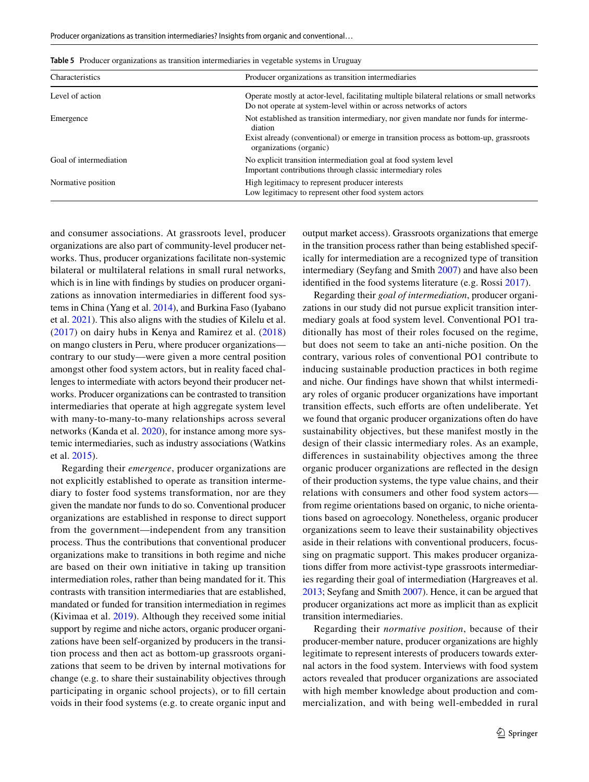| Characteristics        | Producer organizations as transition intermediaries                                                                                                                                                                 |
|------------------------|---------------------------------------------------------------------------------------------------------------------------------------------------------------------------------------------------------------------|
| Level of action        | Operate mostly at actor-level, facilitating multiple bilateral relations or small networks<br>Do not operate at system-level within or across networks of actors                                                    |
| Emergence              | Not established as transition intermediary, nor given mandate nor funds for interme-<br>diation<br>Exist already (conventional) or emerge in transition process as bottom-up, grassroots<br>organizations (organic) |
| Goal of intermediation | No explicit transition intermediation goal at food system level<br>Important contributions through classic intermediary roles                                                                                       |
| Normative position     | High legitimacy to represent producer interests<br>Low legitimacy to represent other food system actors                                                                                                             |

<span id="page-14-0"></span>**Table 5** Producer organizations as transition intermediaries in vegetable systems in Uruguay

and consumer associations. At grassroots level, producer organizations are also part of community-level producer networks. Thus, producer organizations facilitate non-systemic bilateral or multilateral relations in small rural networks, which is in line with fndings by studies on producer organizations as innovation intermediaries in diferent food systems in China (Yang et al. [2014\)](#page-23-3), and Burkina Faso (Iyabano et al. [2021\)](#page-21-21). This also aligns with the studies of Kilelu et al. ([2017](#page-21-3)) on dairy hubs in Kenya and Ramirez et al. [\(2018\)](#page-22-2) on mango clusters in Peru, where producer organizations contrary to our study—were given a more central position amongst other food system actors, but in reality faced challenges to intermediate with actors beyond their producer networks. Producer organizations can be contrasted to transition intermediaries that operate at high aggregate system level with many-to-many-to-many relationships across several networks (Kanda et al. [2020](#page-21-23)), for instance among more systemic intermediaries, such as industry associations (Watkins et al. [2015](#page-23-1)).

Regarding their *emergence*, producer organizations are not explicitly established to operate as transition intermediary to foster food systems transformation, nor are they given the mandate nor funds to do so. Conventional producer organizations are established in response to direct support from the government—independent from any transition process. Thus the contributions that conventional producer organizations make to transitions in both regime and niche are based on their own initiative in taking up transition intermediation roles, rather than being mandated for it. This contrasts with transition intermediaries that are established, mandated or funded for transition intermediation in regimes (Kivimaa et al. [2019\)](#page-21-1). Although they received some initial support by regime and niche actors, organic producer organizations have been self-organized by producers in the transition process and then act as bottom-up grassroots organizations that seem to be driven by internal motivations for change (e.g. to share their sustainability objectives through participating in organic school projects), or to fll certain voids in their food systems (e.g. to create organic input and output market access). Grassroots organizations that emerge in the transition process rather than being established specifically for intermediation are a recognized type of transition intermediary (Seyfang and Smith [2007\)](#page-22-30) and have also been identifed in the food systems literature (e.g. Rossi [2017](#page-22-31)).

Regarding their *goal of intermediation*, producer organizations in our study did not pursue explicit transition intermediary goals at food system level. Conventional PO1 traditionally has most of their roles focused on the regime, but does not seem to take an anti-niche position. On the contrary, various roles of conventional PO1 contribute to inducing sustainable production practices in both regime and niche. Our fndings have shown that whilst intermediary roles of organic producer organizations have important transition effects, such efforts are often undeliberate. Yet we found that organic producer organizations often do have sustainability objectives, but these manifest mostly in the design of their classic intermediary roles. As an example, diferences in sustainability objectives among the three organic producer organizations are refected in the design of their production systems, the type value chains, and their relations with consumers and other food system actors from regime orientations based on organic, to niche orientations based on agroecology. Nonetheless, organic producer organizations seem to leave their sustainability objectives aside in their relations with conventional producers, focussing on pragmatic support. This makes producer organizations difer from more activist-type grassroots intermediaries regarding their goal of intermediation (Hargreaves et al. [2013;](#page-20-30) Seyfang and Smith [2007](#page-22-30)). Hence, it can be argued that producer organizations act more as implicit than as explicit transition intermediaries.

Regarding their *normative position*, because of their producer-member nature, producer organizations are highly legitimate to represent interests of producers towards external actors in the food system. Interviews with food system actors revealed that producer organizations are associated with high member knowledge about production and commercialization, and with being well-embedded in rural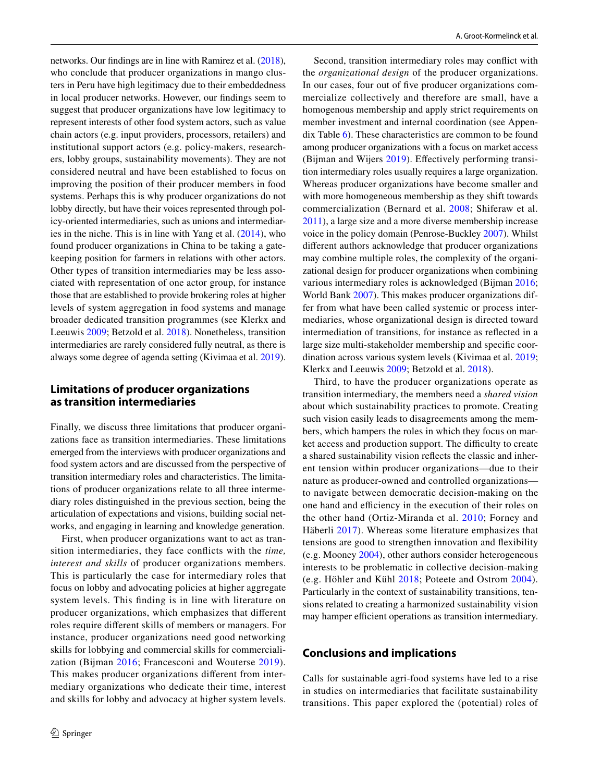networks. Our fndings are in line with Ramirez et al. ([2018](#page-22-2)), who conclude that producer organizations in mango clusters in Peru have high legitimacy due to their embeddedness in local producer networks. However, our fndings seem to suggest that producer organizations have low legitimacy to represent interests of other food system actors, such as value chain actors (e.g. input providers, processors, retailers) and institutional support actors (e.g. policy-makers, researchers, lobby groups, sustainability movements). They are not considered neutral and have been established to focus on improving the position of their producer members in food systems. Perhaps this is why producer organizations do not lobby directly, but have their voices represented through policy-oriented intermediaries, such as unions and intermediaries in the niche. This is in line with Yang et al.  $(2014)$  $(2014)$ , who found producer organizations in China to be taking a gatekeeping position for farmers in relations with other actors. Other types of transition intermediaries may be less associated with representation of one actor group, for instance those that are established to provide brokering roles at higher levels of system aggregation in food systems and manage broader dedicated transition programmes (see Klerkx and Leeuwis [2009;](#page-21-25) Betzold et al. [2018\)](#page-19-1). Nonetheless, transition intermediaries are rarely considered fully neutral, as there is always some degree of agenda setting (Kivimaa et al. [2019](#page-21-1)).

# **Limitations of producer organizations as transition intermediaries**

Finally, we discuss three limitations that producer organizations face as transition intermediaries. These limitations emerged from the interviews with producer organizations and food system actors and are discussed from the perspective of transition intermediary roles and characteristics. The limitations of producer organizations relate to all three intermediary roles distinguished in the previous section, being the articulation of expectations and visions, building social networks, and engaging in learning and knowledge generation.

First, when producer organizations want to act as transition intermediaries, they face conficts with the *time, interest and skills* of producer organizations members. This is particularly the case for intermediary roles that focus on lobby and advocating policies at higher aggregate system levels. This fnding is in line with literature on producer organizations, which emphasizes that diferent roles require diferent skills of members or managers. For instance, producer organizations need good networking skills for lobbying and commercial skills for commercialization (Bijman [2016](#page-19-22); Francesconi and Wouterse [2019\)](#page-20-34). This makes producer organizations diferent from intermediary organizations who dedicate their time, interest and skills for lobby and advocacy at higher system levels.

Second, transition intermediary roles may confict with the *organizational design* of the producer organizations. In our cases, four out of fve producer organizations commercialize collectively and therefore are small, have a homogenous membership and apply strict requirements on member investment and internal coordination (see Appendix Table [6](#page-17-0)). These characteristics are common to be found among producer organizations with a focus on market access (Bijman and Wijers [2019](#page-19-18)). Efectively performing transition intermediary roles usually requires a large organization. Whereas producer organizations have become smaller and with more homogeneous membership as they shift towards commercialization (Bernard et al. [2008;](#page-19-23) Shiferaw et al. [2011](#page-22-0)), a large size and a more diverse membership increase voice in the policy domain (Penrose-Buckley [2007](#page-22-26)). Whilst diferent authors acknowledge that producer organizations may combine multiple roles, the complexity of the organizational design for producer organizations when combining various intermediary roles is acknowledged (Bijman [2016](#page-19-22); World Bank [2007\)](#page-23-2). This makes producer organizations differ from what have been called systemic or process intermediaries, whose organizational design is directed toward intermediation of transitions, for instance as refected in a large size multi-stakeholder membership and specifc coordination across various system levels (Kivimaa et al. [2019](#page-21-1); Klerkx and Leeuwis [2009](#page-21-25); Betzold et al. [2018](#page-19-1)).

Third, to have the producer organizations operate as transition intermediary, the members need a *shared vision* about which sustainability practices to promote. Creating such vision easily leads to disagreements among the members, which hampers the roles in which they focus on market access and production support. The difficulty to create a shared sustainability vision refects the classic and inherent tension within producer organizations—due to their nature as producer-owned and controlled organizations to navigate between democratic decision-making on the one hand and efficiency in the execution of their roles on the other hand (Ortiz-Miranda et al. [2010;](#page-22-23) Forney and Häberli [2017\)](#page-20-11). Whereas some literature emphasizes that tensions are good to strengthen innovation and fexibility (e.g. Mooney [2004\)](#page-22-24), other authors consider heterogeneous interests to be problematic in collective decision-making (e.g. Höhler and Kühl [2018](#page-21-29); Poteete and Ostrom [2004](#page-22-32)). Particularly in the context of sustainability transitions, tensions related to creating a harmonized sustainability vision may hamper efficient operations as transition intermediary.

# **Conclusions and implications**

Calls for sustainable agri-food systems have led to a rise in studies on intermediaries that facilitate sustainability transitions. This paper explored the (potential) roles of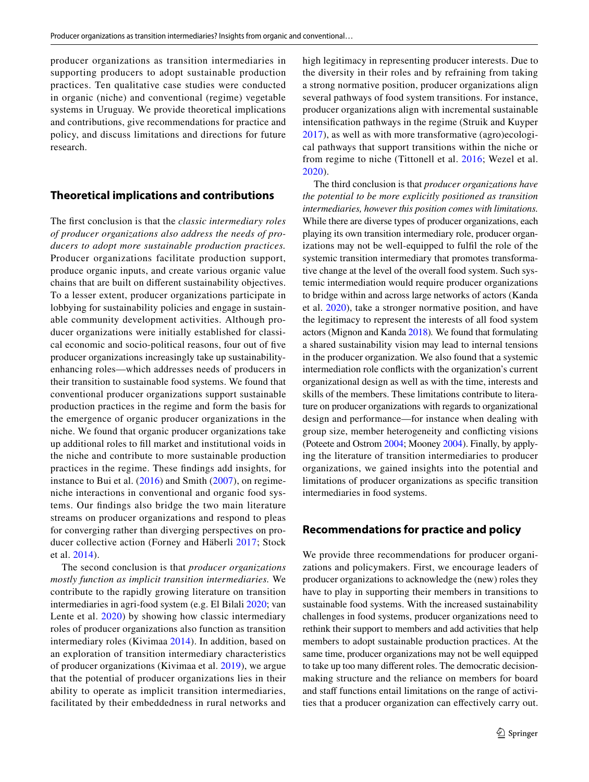producer organizations as transition intermediaries in supporting producers to adopt sustainable production practices. Ten qualitative case studies were conducted in organic (niche) and conventional (regime) vegetable systems in Uruguay. We provide theoretical implications and contributions, give recommendations for practice and policy, and discuss limitations and directions for future research.

## **Theoretical implications and contributions**

The frst conclusion is that the *classic intermediary roles of producer organizations also address the needs of producers to adopt more sustainable production practices.* Producer organizations facilitate production support, produce organic inputs, and create various organic value chains that are built on diferent sustainability objectives. To a lesser extent, producer organizations participate in lobbying for sustainability policies and engage in sustainable community development activities. Although producer organizations were initially established for classical economic and socio-political reasons, four out of fve producer organizations increasingly take up sustainabilityenhancing roles—which addresses needs of producers in their transition to sustainable food systems. We found that conventional producer organizations support sustainable production practices in the regime and form the basis for the emergence of organic producer organizations in the niche. We found that organic producer organizations take up additional roles to fll market and institutional voids in the niche and contribute to more sustainable production practices in the regime. These fndings add insights, for instance to Bui et al. ([2016\)](#page-19-9) and Smith [\(2007](#page-22-17)), on regimeniche interactions in conventional and organic food systems. Our fndings also bridge the two main literature streams on producer organizations and respond to pleas for converging rather than diverging perspectives on producer collective action (Forney and Häberli [2017;](#page-20-11) Stock et al. [2014\)](#page-22-5).

The second conclusion is that *producer organizations mostly function as implicit transition intermediaries.* We contribute to the rapidly growing literature on transition intermediaries in agri-food system (e.g. El Bilali [2020;](#page-20-0) van Lente et al. [2020\)](#page-23-16) by showing how classic intermediary roles of producer organizations also function as transition intermediary roles (Kivimaa [2014\)](#page-21-22). In addition, based on an exploration of transition intermediary characteristics of producer organizations (Kivimaa et al. [2019\)](#page-21-1), we argue that the potential of producer organizations lies in their ability to operate as implicit transition intermediaries, facilitated by their embeddedness in rural networks and high legitimacy in representing producer interests. Due to the diversity in their roles and by refraining from taking a strong normative position, producer organizations align several pathways of food system transitions. For instance, producer organizations align with incremental sustainable intensifcation pathways in the regime (Struik and Kuyper [2017\)](#page-22-20), as well as with more transformative (agro)ecological pathways that support transitions within the niche or from regime to niche (Tittonell et al. [2016;](#page-23-5) Wezel et al. [2020\)](#page-23-7).

The third conclusion is that *producer organizations have the potential to be more explicitly positioned as transition intermediaries, however this position comes with limitations.* While there are diverse types of producer organizations, each playing its own transition intermediary role, producer organizations may not be well-equipped to fulfl the role of the systemic transition intermediary that promotes transformative change at the level of the overall food system. Such systemic intermediation would require producer organizations to bridge within and across large networks of actors (Kanda et al. [2020](#page-21-23)), take a stronger normative position, and have the legitimacy to represent the interests of all food system actors (Mignon and Kanda [2018\)](#page-21-2)*.* We found that formulating a shared sustainability vision may lead to internal tensions in the producer organization. We also found that a systemic intermediation role conficts with the organization's current organizational design as well as with the time, interests and skills of the members. These limitations contribute to literature on producer organizations with regards to organizational design and performance—for instance when dealing with group size, member heterogeneity and conficting visions (Poteete and Ostrom [2004](#page-22-32); Mooney [2004\)](#page-22-24). Finally, by applying the literature of transition intermediaries to producer organizations, we gained insights into the potential and limitations of producer organizations as specifc transition intermediaries in food systems.

# **Recommendations for practice and policy**

We provide three recommendations for producer organizations and policymakers. First, we encourage leaders of producer organizations to acknowledge the (new) roles they have to play in supporting their members in transitions to sustainable food systems. With the increased sustainability challenges in food systems, producer organizations need to rethink their support to members and add activities that help members to adopt sustainable production practices. At the same time, producer organizations may not be well equipped to take up too many diferent roles. The democratic decisionmaking structure and the reliance on members for board and staff functions entail limitations on the range of activities that a producer organization can efectively carry out.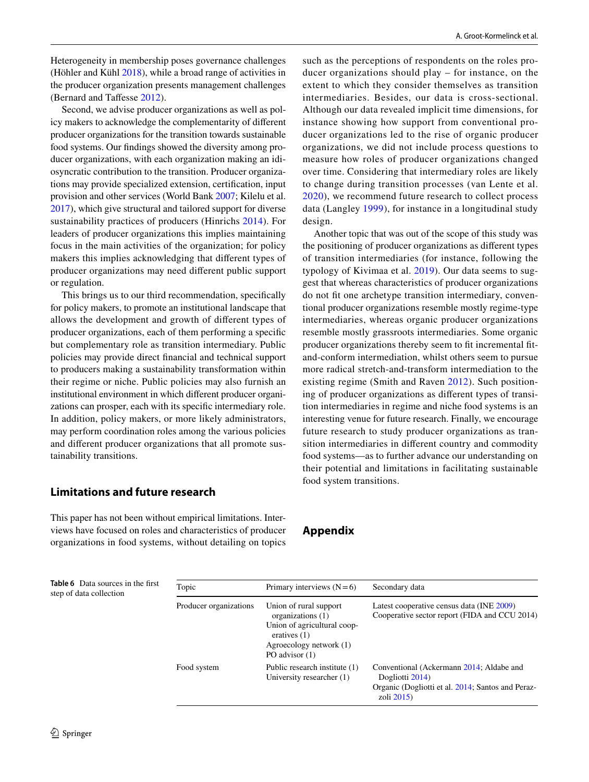Heterogeneity in membership poses governance challenges (Höhler and Kühl [2018](#page-21-29)), while a broad range of activities in the producer organization presents management challenges (Bernard and Tafesse [2012](#page-19-24)).

Second, we advise producer organizations as well as policy makers to acknowledge the complementarity of diferent producer organizations for the transition towards sustainable food systems. Our fndings showed the diversity among producer organizations, with each organization making an idiosyncratic contribution to the transition. Producer organizations may provide specialized extension, certifcation, input provision and other services (World Bank [2007;](#page-23-2) Kilelu et al. [2017](#page-21-3)), which give structural and tailored support for diverse sustainability practices of producers (Hinrichs [2014](#page-21-0)). For leaders of producer organizations this implies maintaining focus in the main activities of the organization; for policy makers this implies acknowledging that diferent types of producer organizations may need diferent public support or regulation.

This brings us to our third recommendation, specifcally for policy makers, to promote an institutional landscape that allows the development and growth of diferent types of producer organizations, each of them performing a specifc but complementary role as transition intermediary. Public policies may provide direct fnancial and technical support to producers making a sustainability transformation within their regime or niche. Public policies may also furnish an institutional environment in which diferent producer organizations can prosper, each with its specifc intermediary role. In addition, policy makers, or more likely administrators, may perform coordination roles among the various policies and diferent producer organizations that all promote sustainability transitions.

# **Limitations and future research**

This paper has not been without empirical limitations. Interviews have focused on roles and characteristics of producer organizations in food systems, without detailing on topics such as the perceptions of respondents on the roles producer organizations should play – for instance, on the extent to which they consider themselves as transition intermediaries. Besides, our data is cross-sectional. Although our data revealed implicit time dimensions, for instance showing how support from conventional producer organizations led to the rise of organic producer organizations, we did not include process questions to measure how roles of producer organizations changed over time. Considering that intermediary roles are likely to change during transition processes (van Lente et al. [2020](#page-23-16)), we recommend future research to collect process data (Langley [1999](#page-21-30)), for instance in a longitudinal study design.

Another topic that was out of the scope of this study was the positioning of producer organizations as diferent types of transition intermediaries (for instance, following the typology of Kivimaa et al. [2019\)](#page-21-1). Our data seems to suggest that whereas characteristics of producer organizations do not ft one archetype transition intermediary, conventional producer organizations resemble mostly regime-type intermediaries, whereas organic producer organizations resemble mostly grassroots intermediaries. Some organic producer organizations thereby seem to ft incremental ftand-conform intermediation, whilst others seem to pursue more radical stretch-and-transform intermediation to the existing regime (Smith and Raven [2012\)](#page-22-14). Such positioning of producer organizations as diferent types of transition intermediaries in regime and niche food systems is an interesting venue for future research. Finally, we encourage future research to study producer organizations as transition intermediaries in diferent country and commodity food systems—as to further advance our understanding on their potential and limitations in facilitating sustainable food system transitions.

**Appendix**

| <b>Table 6</b> Data sources in the first<br>step of data collection | Topic                  | Primary interviews $(N=6)$                                                                                                                | Secondary data                                                                                                                  |
|---------------------------------------------------------------------|------------------------|-------------------------------------------------------------------------------------------------------------------------------------------|---------------------------------------------------------------------------------------------------------------------------------|
|                                                                     | Producer organizations | Union of rural support<br>organizations (1)<br>Union of agricultural coop-<br>eratives $(1)$<br>Agroecology network (1)<br>PO advisor (1) | Latest cooperative census data (INE 2009)<br>Cooperative sector report (FIDA and CCU 2014)                                      |
|                                                                     | Food system            | Public research institute (1)<br>University researcher (1)                                                                                | Conventional (Ackermann 2014; Aldabe and<br>Dogliotti 2014)<br>Organic (Dogliotti et al. 2014; Santos and Peraz-<br>zoli $2015$ |

<span id="page-17-0"></span>**Table 6** Data source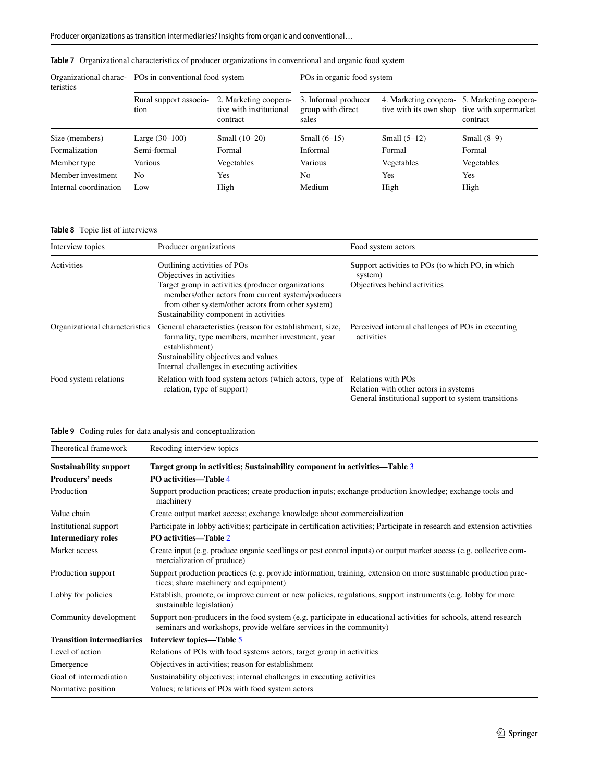| Organizational charac-<br>teristics | POs in conventional food system |                                                              | POs in organic food system                         |                |                                                                                                         |
|-------------------------------------|---------------------------------|--------------------------------------------------------------|----------------------------------------------------|----------------|---------------------------------------------------------------------------------------------------------|
|                                     | Rural support associa-<br>tion  | 2. Marketing coopera-<br>tive with institutional<br>contract | 3. Informal producer<br>group with direct<br>sales |                | 4. Marketing coopera- 5. Marketing coopera-<br>tive with its own shop tive with supermarket<br>contract |
| Size (members)                      | Large $(30-100)$                | Small $(10-20)$                                              | Small $(6-15)$                                     | Small $(5-12)$ | Small $(8-9)$                                                                                           |
| Formalization                       | Semi-formal                     | Formal                                                       | Informal                                           | Formal         | Formal                                                                                                  |
| Member type                         | Various                         | Vegetables                                                   | Various                                            | Vegetables     | Vegetables                                                                                              |
| Member investment                   | N <sub>0</sub>                  | <b>Yes</b>                                                   | No                                                 | Yes            | <b>Yes</b>                                                                                              |
| Internal coordination               | Low                             | High                                                         | Medium                                             | High           | High                                                                                                    |

<span id="page-18-0"></span>**Table 7** Organizational characteristics of producer organizations in conventional and organic food system

### <span id="page-18-1"></span>**Table 8** Topic list of interviews

| Interview topics               | Producer organizations                                                                                                                                                                                                                                              | Food system actors                                                                           |
|--------------------------------|---------------------------------------------------------------------------------------------------------------------------------------------------------------------------------------------------------------------------------------------------------------------|----------------------------------------------------------------------------------------------|
| <b>Activities</b>              | Outlining activities of POs<br>Objectives in activities<br>Target group in activities (producer organizations)<br>members/other actors from current system/producers<br>from other system/other actors from other system)<br>Sustainability component in activities | Support activities to POs (to which PO, in which<br>system)<br>Objectives behind activities  |
| Organizational characteristics | General characteristics (reason for establishment, size,<br>formality, type members, member investment, year<br>establishment)<br>Sustainability objectives and values<br>Internal challenges in executing activities                                               | Perceived internal challenges of POs in executing<br>activities                              |
| Food system relations          | Relation with food system actors (which actors, type of Relations with POs<br>relation, type of support)                                                                                                                                                            | Relation with other actors in systems<br>General institutional support to system transitions |

# <span id="page-18-2"></span>**Table 9** Coding rules for data analysis and conceptualization

| Theoretical framework            | Recoding interview topics                                                                                                                                                               |
|----------------------------------|-----------------------------------------------------------------------------------------------------------------------------------------------------------------------------------------|
| <b>Sustainability support</b>    | Target group in activities; Sustainability component in activities—Table 3                                                                                                              |
| <b>Producers' needs</b>          | PO activities—Table 4                                                                                                                                                                   |
| Production                       | Support production practices; create production inputs; exchange production knowledge; exchange tools and<br>machinery                                                                  |
| Value chain                      | Create output market access; exchange knowledge about commercialization                                                                                                                 |
| Institutional support            | Participate in lobby activities; participate in certification activities; Participate in research and extension activities                                                              |
| <b>Intermediary roles</b>        | PO activities—Table 2                                                                                                                                                                   |
| Market access                    | Create input (e.g. produce organic seedlings or pest control inputs) or output market access (e.g. collective com-<br>mercialization of produce)                                        |
| Production support               | Support production practices (e.g. provide information, training, extension on more sustainable production prac-<br>tices; share machinery and equipment)                               |
| Lobby for policies               | Establish, promote, or improve current or new policies, regulations, support instruments (e.g. lobby for more<br>sustainable legislation)                                               |
| Community development            | Support non-producers in the food system (e.g. participate in educational activities for schools, attend research<br>seminars and workshops, provide welfare services in the community) |
| <b>Transition intermediaries</b> | Interview topics—Table 5                                                                                                                                                                |
| Level of action                  | Relations of POs with food systems actors; target group in activities                                                                                                                   |
| Emergence                        | Objectives in activities; reason for establishment                                                                                                                                      |
| Goal of intermediation           | Sustainability objectives; internal challenges in executing activities                                                                                                                  |
| Normative position               | Values; relations of POs with food system actors                                                                                                                                        |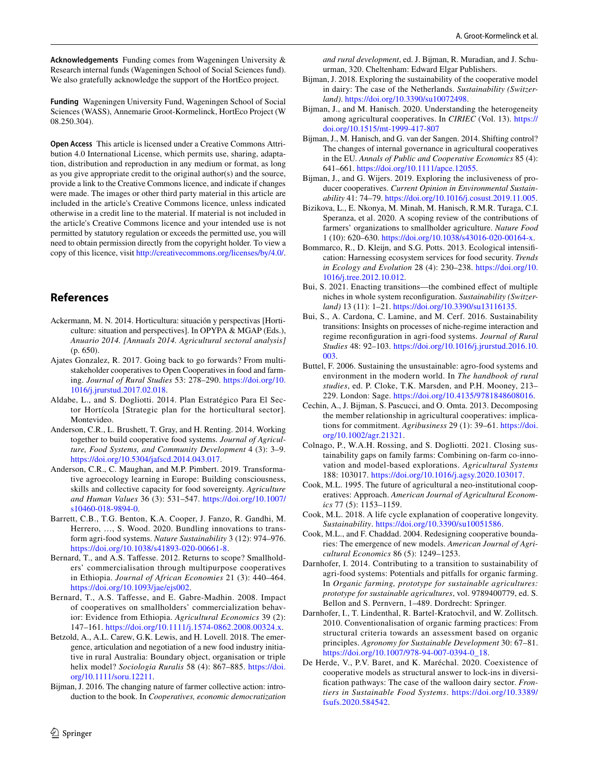**Acknowledgements** Funding comes from Wageningen University & Research internal funds (Wageningen School of Social Sciences fund). We also gratefully acknowledge the support of the HortEco project.

**Funding** Wageningen University Fund, Wageningen School of Social Sciences (WASS), Annemarie Groot-Kormelinck, HortEco Project (W 08.250.304).

**Open Access** This article is licensed under a Creative Commons Attribution 4.0 International License, which permits use, sharing, adaptation, distribution and reproduction in any medium or format, as long as you give appropriate credit to the original author(s) and the source, provide a link to the Creative Commons licence, and indicate if changes were made. The images or other third party material in this article are included in the article's Creative Commons licence, unless indicated otherwise in a credit line to the material. If material is not included in the article's Creative Commons licence and your intended use is not permitted by statutory regulation or exceeds the permitted use, you will need to obtain permission directly from the copyright holder. To view a copy of this licence, visit <http://creativecommons.org/licenses/by/4.0/>.

# **References**

- <span id="page-19-4"></span>Ackermann, M. N. 2014. Horticultura: situación y perspectivas [Horticulture: situation and perspectives]. In OPYPA & MGAP (Eds.), *Anuario 2014. [Annuals 2014. Agricultural sectoral analysis]* (p. 650).
- <span id="page-19-20"></span>Ajates Gonzalez, R. 2017. Going back to go forwards? From multistakeholder cooperatives to Open Cooperatives in food and farming. *Journal of Rural Studies* 53: 278–290. [https://doi.org/10.](https://doi.org/10.1016/j.jrurstud.2017.02.018) [1016/j.jrurstud.2017.02.018.](https://doi.org/10.1016/j.jrurstud.2017.02.018)
- <span id="page-19-25"></span>Aldabe, L., and S. Dogliotti. 2014. Plan Estratégico Para El Sector Hortícola [Strategic plan for the horticultural sector]. Montevideo.
- <span id="page-19-3"></span>Anderson, C.R., L. Brushett, T. Gray, and H. Renting. 2014. Working together to build cooperative food systems. *Journal of Agriculture, Food Systems, and Community Development* 4 (3): 3–9. [https://doi.org/10.5304/jafscd.2014.043.017.](https://doi.org/10.5304/jafscd.2014.043.017)
- <span id="page-19-7"></span>Anderson, C.R., C. Maughan, and M.P. Pimbert. 2019. Transformative agroecology learning in Europe: Building consciousness, skills and collective capacity for food sovereignty. *Agriculture and Human Values* 36 (3): 531–547. [https://doi.org/10.1007/](https://doi.org/10.1007/s10460-018-9894-0) [s10460-018-9894-0](https://doi.org/10.1007/s10460-018-9894-0).
- <span id="page-19-0"></span>Barrett, C.B., T.G. Benton, K.A. Cooper, J. Fanzo, R. Gandhi, M. Herrero, …, S. Wood. 2020. Bundling innovations to transform agri-food systems. *Nature Sustainability* 3 (12): 974–976. [https://doi.org/10.1038/s41893-020-00661-8.](https://doi.org/10.1038/s41893-020-00661-8)
- <span id="page-19-24"></span>Bernard, T., and A.S. Tafesse. 2012. Returns to scope? Smallholders' commercialisation through multipurpose cooperatives in Ethiopia. *Journal of African Economies* 21 (3): 440–464. [https://doi.org/10.1093/jae/ejs002.](https://doi.org/10.1093/jae/ejs002)
- <span id="page-19-23"></span>Bernard, T., A.S. Tafesse, and E. Gabre-Madhin. 2008. Impact of cooperatives on smallholders' commercialization behavior: Evidence from Ethiopia. *Agricultural Economics* 39 (2): 147–161. [https://doi.org/10.1111/j.1574-0862.2008.00324.x.](https://doi.org/10.1111/j.1574-0862.2008.00324.x)
- <span id="page-19-1"></span>Betzold, A., A.L. Carew, G.K. Lewis, and H. Lovell. 2018. The emergence, articulation and negotiation of a new food industry initiative in rural Australia: Boundary object, organisation or triple helix model? *Sociologia Ruralis* 58 (4): 867–885. [https://doi.](https://doi.org/10.1111/soru.12211) [org/10.1111/soru.12211](https://doi.org/10.1111/soru.12211).
- <span id="page-19-22"></span>Bijman, J. 2016. The changing nature of farmer collective action: introduction to the book. In *Cooperatives, economic democratization*

*and rural development*, ed. J. Bijman, R. Muradian, and J. Schuurman, 320. Cheltenham: Edward Elgar Publishers.

- Bijman, J. 2018. Exploring the sustainability of the cooperative model in dairy: The case of the Netherlands. *Sustainability (Switzerland)*.<https://doi.org/10.3390/su10072498>.
- <span id="page-19-2"></span>Bijman, J., and M. Hanisch. 2020. Understanding the heterogeneity among agricultural cooperatives. In *CIRIEC* (Vol. 13). [https://](https://doi.org/10.1515/mt-1999-417-807) [doi.org/10.1515/mt-1999-417-807](https://doi.org/10.1515/mt-1999-417-807)
- <span id="page-19-15"></span>Bijman, J., M. Hanisch, and G. van der Sangen. 2014. Shifting control? The changes of internal governance in agricultural cooperatives in the EU. *Annals of Public and Cooperative Economics* 85 (4): 641–661. <https://doi.org/10.1111/apce.12055>.
- <span id="page-19-18"></span>Bijman, J., and G. Wijers. 2019. Exploring the inclusiveness of producer cooperatives. *Current Opinion in Environmental Sustainability* 41: 74–79. [https://doi.org/10.1016/j.cosust.2019.11.005.](https://doi.org/10.1016/j.cosust.2019.11.005)
- <span id="page-19-19"></span>Bizikova, L., E. Nkonya, M. Minah, M. Hanisch, R.M.R. Turaga, C.I. Speranza, et al. 2020. A scoping review of the contributions of farmers' organizations to smallholder agriculture. *Nature Food* 1 (10): 620–630.<https://doi.org/10.1038/s43016-020-00164-x>.
- <span id="page-19-11"></span>Bommarco, R., D. Kleijn, and S.G. Potts. 2013. Ecological intensifcation: Harnessing ecosystem services for food security. *Trends in Ecology and Evolution* 28 (4): 230–238. [https://doi.org/10.](https://doi.org/10.1016/j.tree.2012.10.012) [1016/j.tree.2012.10.012.](https://doi.org/10.1016/j.tree.2012.10.012)
- <span id="page-19-8"></span>Bui, S. 2021. Enacting transitions—the combined efect of multiple niches in whole system reconfguration. *Sustainability (Switzerland)* 13 (11): 1–21. [https://doi.org/10.3390/su13116135.](https://doi.org/10.3390/su13116135)
- <span id="page-19-9"></span>Bui, S., A. Cardona, C. Lamine, and M. Cerf. 2016. Sustainability transitions: Insights on processes of niche-regime interaction and regime reconfguration in agri-food systems. *Journal of Rural Studies* 48: 92–103. [https://doi.org/10.1016/j.jrurstud.2016.10.](https://doi.org/10.1016/j.jrurstud.2016.10.003) [003.](https://doi.org/10.1016/j.jrurstud.2016.10.003)
- <span id="page-19-6"></span>Buttel, F. 2006. Sustaining the unsustainable: agro-food systems and environment in the modern world. In *The handbook of rural studies*, ed. P. Cloke, T.K. Marsden, and P.H. Mooney, 213– 229. London: Sage. <https://doi.org/10.4135/9781848608016>.
- <span id="page-19-16"></span>Cechin, A., J. Bijman, S. Pascucci, and O. Omta. 2013. Decomposing the member relationship in agricultural cooperatives: implications for commitment. *Agribusiness* 29 (1): 39–61. [https://doi.](https://doi.org/10.1002/agr.21321) [org/10.1002/agr.21321](https://doi.org/10.1002/agr.21321).
- <span id="page-19-21"></span>Colnago, P., W.A.H. Rossing, and S. Dogliotti. 2021. Closing sustainability gaps on family farms: Combining on-farm co-innovation and model-based explorations. *Agricultural Systems* 188: 103017. [https://doi.org/10.1016/j.agsy.2020.103017.](https://doi.org/10.1016/j.agsy.2020.103017)
- <span id="page-19-12"></span>Cook, M.L. 1995. The future of agricultural a neo-institutional cooperatives: Approach. *American Journal of Agricultural Economics* 77 (5): 1153–1159.
- <span id="page-19-13"></span>Cook, M.L. 2018. A life cycle explanation of cooperative longevity. *Sustainability*.<https://doi.org/10.3390/su10051586>.
- <span id="page-19-14"></span>Cook, M.L., and F. Chaddad. 2004. Redesigning cooperative boundaries: The emergence of new models. *American Journal of Agricultural Economics* 86 (5): 1249–1253.
- <span id="page-19-5"></span>Darnhofer, I. 2014. Contributing to a transition to sustainability of agri-food systems: Potentials and pitfalls for organic farming. In *Organic farming, prototype for sustainable agricultures: prototype for sustainable agricultures*, vol. 9789400779, ed. S. Bellon and S. Pernvern, 1–489. Dordrecht: Springer.
- <span id="page-19-10"></span>Darnhofer, I., T. Lindenthal, R. Bartel-Kratochvil, and W. Zollitsch. 2010. Conventionalisation of organic farming practices: From structural criteria towards an assessment based on organic principles. *Agronomy for Sustainable Development* 30: 67–81. [https://doi.org/10.1007/978-94-007-0394-0\\_18](https://doi.org/10.1007/978-94-007-0394-0_18).
- <span id="page-19-17"></span>De Herde, V., P.V. Baret, and K. Maréchal. 2020. Coexistence of cooperative models as structural answer to lock-ins in diversifcation pathways: The case of the walloon dairy sector. *Frontiers in Sustainable Food Systems*. [https://doi.org/10.3389/](https://doi.org/10.3389/fsufs.2020.584542) [fsufs.2020.584542](https://doi.org/10.3389/fsufs.2020.584542).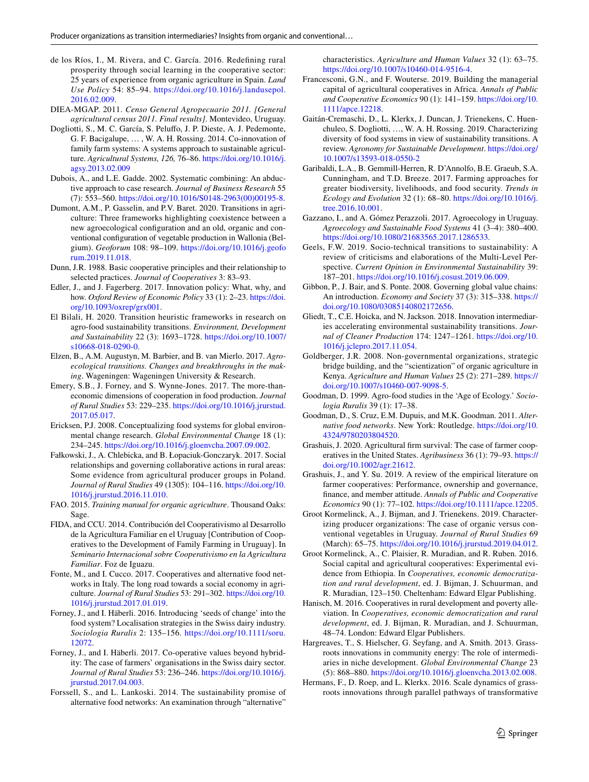- <span id="page-20-29"></span>de los Ríos, I., M. Rivera, and C. García. 2016. Redefning rural prosperity through social learning in the cooperative sector: 25 years of experience from organic agriculture in Spain. *Land Use Policy* 54: 85–94. [https://doi.org/10.1016/j.landusepol.](https://doi.org/10.1016/j.landusepol.2016.02.009) [2016.02.009.](https://doi.org/10.1016/j.landusepol.2016.02.009)
- <span id="page-20-9"></span>DIEA-MGAP. 2011. *Censo General Agropecuario 2011. [General agricultural census 2011. Final results]*. Montevideo, Uruguay.
- <span id="page-20-8"></span>Dogliotti, S., M. C. García, S. Pelufo, J. P. Dieste, A. J. Pedemonte, G. F. Bacigalupe, … , W. A. H. Rossing. 2014. Co-innovation of family farm systems: A systems approach to sustainable agriculture. *Agricultural Systems, 126,* 76–86. [https://doi.org/10.1016/j.](https://doi.org/10.1016/j.agsy.2013.02.009) [agsy.2013.02.009](https://doi.org/10.1016/j.agsy.2013.02.009)
- <span id="page-20-32"></span>Dubois, A., and L.E. Gadde. 2002. Systematic combining: An abductive approach to case research. *Journal of Business Research* 55 (7): 553–560. [https://doi.org/10.1016/S0148-2963\(00\)00195-8](https://doi.org/10.1016/S0148-2963(00)00195-8).
- <span id="page-20-19"></span>Dumont, A.M., P. Gasselin, and P.V. Baret. 2020. Transitions in agriculture: Three frameworks highlighting coexistence between a new agroecological confguration and an old, organic and conventional confguration of vegetable production in Wallonia (Belgium). *Geoforum* 108: 98–109. [https://doi.org/10.1016/j.geofo](https://doi.org/10.1016/j.geoforum.2019.11.018) [rum.2019.11.018.](https://doi.org/10.1016/j.geoforum.2019.11.018)
- <span id="page-20-20"></span>Dunn, J.R. 1988. Basic cooperative principles and their relationship to selected practices. *Journal of Cooperatives* 3: 83–93.
- <span id="page-20-18"></span>Edler, J., and J. Fagerberg. 2017. Innovation policy: What, why, and how. *Oxford Review of Economic Policy* 33 (1): 2–23. [https://doi.](https://doi.org/10.1093/oxrep/grx001) [org/10.1093/oxrep/grx001.](https://doi.org/10.1093/oxrep/grx001)
- <span id="page-20-0"></span>El Bilali, H. 2020. Transition heuristic frameworks in research on agro-food sustainability transitions. *Environment, Development and Sustainability* 22 (3): 1693–1728. [https://doi.org/10.1007/](https://doi.org/10.1007/s10668-018-0290-0) [s10668-018-0290-0](https://doi.org/10.1007/s10668-018-0290-0).
- <span id="page-20-17"></span>Elzen, B., A.M. Augustyn, M. Barbier, and B. van Mierlo. 2017. *Agroecological transitions. Changes and breakthroughs in the making*. Wageningen: Wageningen University & Research.
- <span id="page-20-6"></span>Emery, S.B., J. Forney, and S. Wynne-Jones. 2017. The more-thaneconomic dimensions of cooperation in food production. *Journal of Rural Studies* 53: 229–235. [https://doi.org/10.1016/j.jrurstud.](https://doi.org/10.1016/j.jrurstud.2017.05.017) [2017.05.017](https://doi.org/10.1016/j.jrurstud.2017.05.017).
- <span id="page-20-12"></span>Ericksen, P.J. 2008. Conceptualizing food systems for global environmental change research. *Global Environmental Change* 18 (1): 234–245. <https://doi.org/10.1016/j.gloenvcha.2007.09.002>.
- <span id="page-20-27"></span>Fałkowski, J., A. Chlebicka, and B. Łopaciuk-Gonczaryk. 2017. Social relationships and governing collaborative actions in rural areas: Some evidence from agricultural producer groups in Poland. *Journal of Rural Studies* 49 (1305): 104–116. [https://doi.org/10.](https://doi.org/10.1016/j.jrurstud.2016.11.010) [1016/j.jrurstud.2016.11.010.](https://doi.org/10.1016/j.jrurstud.2016.11.010)
- <span id="page-20-33"></span>FAO. 2015. *Training manual for organic agriculture*. Thousand Oaks: Sage.
- <span id="page-20-31"></span>FIDA, and CCU. 2014. Contribución del Cooperativismo al Desarrollo de la Agricultura Familiar en el Uruguay [Contribution of Cooperatives to the Development of Family Farming in Uruguay]. In *Seminario Internacional sobre Cooperativismo en la Agricultura Familiar*. Foz de Iguazu.
- <span id="page-20-24"></span>Fonte, M., and I. Cucco. 2017. Cooperatives and alternative food networks in Italy. The long road towards a social economy in agriculture. *Journal of Rural Studies* 53: 291–302. [https://doi.org/10.](https://doi.org/10.1016/j.jrurstud.2017.01.019) [1016/j.jrurstud.2017.01.019.](https://doi.org/10.1016/j.jrurstud.2017.01.019)
- <span id="page-20-26"></span>Forney, J., and I. Häberli. 2016. Introducing 'seeds of change' into the food system? Localisation strategies in the Swiss dairy industry. *Sociologia Ruralis* 2: 135–156. [https://doi.org/10.1111/soru.](https://doi.org/10.1111/soru.12072) [12072.](https://doi.org/10.1111/soru.12072)
- <span id="page-20-11"></span>Forney, J., and I. Häberli. 2017. Co-operative values beyond hybridity: The case of farmers' organisations in the Swiss dairy sector. *Journal of Rural Studies* 53: 236–246. [https://doi.org/10.1016/j.](https://doi.org/10.1016/j.jrurstud.2017.04.003) [jrurstud.2017.04.003.](https://doi.org/10.1016/j.jrurstud.2017.04.003)
- <span id="page-20-1"></span>Forssell, S., and L. Lankoski. 2014. The sustainability promise of alternative food networks: An examination through "alternative"

characteristics. *Agriculture and Human Values* 32 (1): 63–75. [https://doi.org/10.1007/s10460-014-9516-4.](https://doi.org/10.1007/s10460-014-9516-4)

- <span id="page-20-34"></span>Francesconi, G.N., and F. Wouterse. 2019. Building the managerial capital of agricultural cooperatives in Africa. *Annals of Public and Cooperative Economics* 90 (1): 141–159. [https://doi.org/10.](https://doi.org/10.1111/apce.12218) [1111/apce.12218.](https://doi.org/10.1111/apce.12218)
- <span id="page-20-13"></span>Gaitán-Cremaschi, D., L. Klerkx, J. Duncan, J. Trienekens, C. Huenchuleo, S. Dogliotti, …, W. A. H. Rossing. 2019. Characterizing diversity of food systems in view of sustainability transitions. A review. *Agronomy for Sustainable Development*. [https://doi.org/](https://doi.org/10.1007/s13593-018-0550-2) [10.1007/s13593-018-0550-2](https://doi.org/10.1007/s13593-018-0550-2)
- <span id="page-20-14"></span>Garibaldi, L.A., B. Gemmill-Herren, R. D'Annolfo, B.E. Graeub, S.A. Cunningham, and T.D. Breeze. 2017. Farming approaches for greater biodiversity, livelihoods, and food security. *Trends in Ecology and Evolution* 32 (1): 68–80. [https://doi.org/10.1016/j.](https://doi.org/10.1016/j.tree.2016.10.001) [tree.2016.10.001.](https://doi.org/10.1016/j.tree.2016.10.001)
- <span id="page-20-10"></span>Gazzano, I., and A. Gómez Perazzoli. 2017. Agroecology in Uruguay. *Agroecology and Sustainable Food Systems* 41 (3–4): 380–400. [https://doi.org/10.1080/21683565.2017.1286533.](https://doi.org/10.1080/21683565.2017.1286533)
- <span id="page-20-16"></span>Geels, F.W. 2019. Socio-technical transitions to sustainability: A review of criticisms and elaborations of the Multi-Level Perspective. *Current Opinion in Environmental Sustainability* 39: 187–201. <https://doi.org/10.1016/j.cosust.2019.06.009>.
- <span id="page-20-15"></span>Gibbon, P., J. Bair, and S. Ponte. 2008. Governing global value chains: An introduction. *Economy and Society* 37 (3): 315–338. [https://](https://doi.org/10.1080/03085140802172656) [doi.org/10.1080/03085140802172656.](https://doi.org/10.1080/03085140802172656)
- <span id="page-20-4"></span>Gliedt, T., C.E. Hoicka, and N. Jackson. 2018. Innovation intermediaries accelerating environmental sustainability transitions. *Journal of Cleaner Production* 174: 1247–1261. [https://doi.org/10.](https://doi.org/10.1016/j.jclepro.2017.11.054) [1016/j.jclepro.2017.11.054.](https://doi.org/10.1016/j.jclepro.2017.11.054)
- <span id="page-20-2"></span>Goldberger, J.R. 2008. Non-governmental organizations, strategic bridge building, and the "scientization" of organic agriculture in Kenya. *Agriculture and Human Values* 25 (2): 271–289. [https://](https://doi.org/10.1007/s10460-007-9098-5) [doi.org/10.1007/s10460-007-9098-5.](https://doi.org/10.1007/s10460-007-9098-5)
- <span id="page-20-22"></span>Goodman, D. 1999. Agro-food studies in the 'Age of Ecology.' *Sociologia Ruralis* 39 (1): 17–38.
- <span id="page-20-23"></span>Goodman, D., S. Cruz, E.M. Dupuis, and M.K. Goodman. 2011. *Alternative food networks*. New York: Routledge. [https://doi.org/10.](https://doi.org/10.4324/9780203804520) [4324/9780203804520](https://doi.org/10.4324/9780203804520).
- <span id="page-20-21"></span>Grashuis, J. 2020. Agricultural frm survival: The case of farmer cooperatives in the United States. *Agribusiness* 36 (1): 79–93. [https://](https://doi.org/10.1002/agr.21612) [doi.org/10.1002/agr.21612](https://doi.org/10.1002/agr.21612).
- <span id="page-20-5"></span>Grashuis, J., and Y. Su. 2019. A review of the empirical literature on farmer cooperatives: Performance, ownership and governance, fnance, and member attitude. *Annals of Public and Cooperative Economics* 90 (1): 77–102. <https://doi.org/10.1111/apce.12205>.
- <span id="page-20-7"></span>Groot Kormelinck, A., J. Bijman, and J. Trienekens. 2019. Characterizing producer organizations: The case of organic versus conventional vegetables in Uruguay. *Journal of Rural Studies* 69 (March): 65–75. <https://doi.org/10.1016/j.jrurstud.2019.04.012>.
- <span id="page-20-25"></span>Groot Kormelinck, A., C. Plaisier, R. Muradian, and R. Ruben. 2016. Social capital and agricultural cooperatives: Experimental evidence from Ethiopia. In *Cooperatives, economic democratization and rural development*, ed. J. Bijman, J. Schuurman, and R. Muradian, 123–150. Cheltenham: Edward Elgar Publishing.
- <span id="page-20-28"></span>Hanisch, M. 2016. Cooperatives in rural development and poverty alleviation. In *Cooperatives, economic democratization and rural development*, ed. J. Bijman, R. Muradian, and J. Schuurman, 48–74. London: Edward Elgar Publishers.
- <span id="page-20-30"></span>Hargreaves, T., S. Hielscher, G. Seyfang, and A. Smith. 2013. Grassroots innovations in community energy: The role of intermediaries in niche development. *Global Environmental Change* 23 (5): 868–880. [https://doi.org/10.1016/j.gloenvcha.2013.02.008.](https://doi.org/10.1016/j.gloenvcha.2013.02.008)
- <span id="page-20-3"></span>Hermans, F., D. Roep, and L. Klerkx. 2016. Scale dynamics of grassroots innovations through parallel pathways of transformative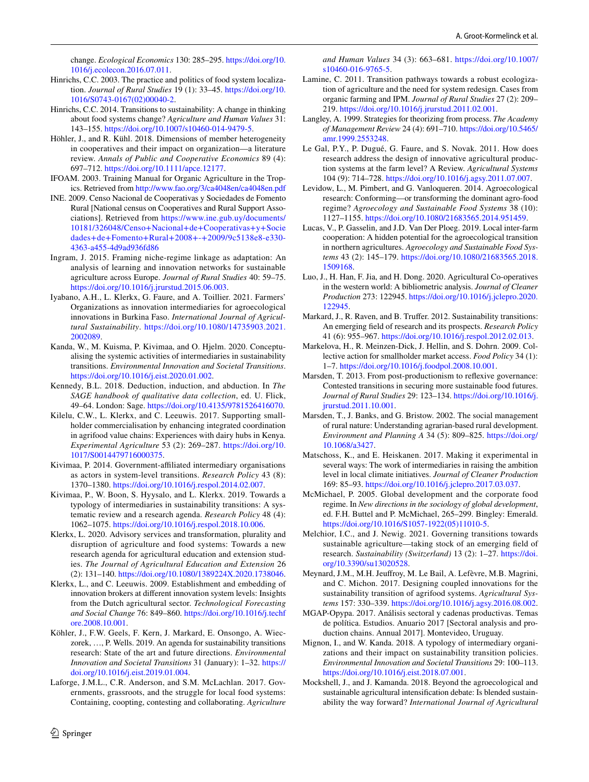change. *Ecological Economics* 130: 285–295. [https://doi.org/10.](https://doi.org/10.1016/j.ecolecon.2016.07.011) [1016/j.ecolecon.2016.07.011](https://doi.org/10.1016/j.ecolecon.2016.07.011).

- <span id="page-21-20"></span>Hinrichs, C.C. 2003. The practice and politics of food system localization. *Journal of Rural Studies* 19 (1): 33–45. [https://doi.org/10.](https://doi.org/10.1016/S0743-0167(02)00040-2) [1016/S0743-0167\(02\)00040-2](https://doi.org/10.1016/S0743-0167(02)00040-2).
- <span id="page-21-0"></span>Hinrichs, C.C. 2014. Transitions to sustainability: A change in thinking about food systems change? *Agriculture and Human Values* 31: 143–155. [https://doi.org/10.1007/s10460-014-9479-5.](https://doi.org/10.1007/s10460-014-9479-5)
- <span id="page-21-29"></span>Höhler, J., and R. Kühl. 2018. Dimensions of member heterogeneity in cooperatives and their impact on organization—a literature review. *Annals of Public and Cooperative Economics* 89 (4): 697–712. <https://doi.org/10.1111/apce.12177>.
- IFOAM. 2003. Training Manual for Organic Agriculture in the Tropics. Retrieved from<http://www.fao.org/3/ca4048en/ca4048en.pdf>
- <span id="page-21-31"></span>INE. 2009. Censo Nacional de Cooperativas y Sociedades de Fomento Rural [National census on Cooperatives and Rural Support Associations]. Retrieved from [https://www.ine.gub.uy/documents/](https://www.ine.gub.uy/documents/10181/326048/Censo+Nacional+de+Cooperativas+y+Sociedades+de+Fomento+Rural+2008+-+2009/9c5138e8-e330-4363-a455-4d9ad936fd86) [10181/326048/Censo+Nacional+de+Cooperativas+y+Socie](https://www.ine.gub.uy/documents/10181/326048/Censo+Nacional+de+Cooperativas+y+Sociedades+de+Fomento+Rural+2008+-+2009/9c5138e8-e330-4363-a455-4d9ad936fd86) [dades+de+Fomento+Rural+2008+-+2009/9c5138e8-e330-](https://www.ine.gub.uy/documents/10181/326048/Censo+Nacional+de+Cooperativas+y+Sociedades+de+Fomento+Rural+2008+-+2009/9c5138e8-e330-4363-a455-4d9ad936fd86) [4363-a455-4d9ad936fd86](https://www.ine.gub.uy/documents/10181/326048/Censo+Nacional+de+Cooperativas+y+Sociedades+de+Fomento+Rural+2008+-+2009/9c5138e8-e330-4363-a455-4d9ad936fd86)
- <span id="page-21-11"></span>Ingram, J. 2015. Framing niche-regime linkage as adaptation: An analysis of learning and innovation networks for sustainable agriculture across Europe. *Journal of Rural Studies* 40: 59–75. <https://doi.org/10.1016/j.jrurstud.2015.06.003>.
- <span id="page-21-21"></span>Iyabano, A.H., L. Klerkx, G. Faure, and A. Toillier. 2021. Farmers' Organizations as innovation intermediaries for agroecological innovations in Burkina Faso. *International Journal of Agricultural Sustainability*. [https://doi.org/10.1080/14735903.2021.](https://doi.org/10.1080/14735903.2021.2002089) [2002089.](https://doi.org/10.1080/14735903.2021.2002089)
- <span id="page-21-23"></span>Kanda, W., M. Kuisma, P. Kivimaa, and O. Hjelm. 2020. Conceptualising the systemic activities of intermediaries in sustainability transitions. *Environmental Innovation and Societal Transitions*. <https://doi.org/10.1016/j.eist.2020.01.002>.
- <span id="page-21-27"></span>Kennedy, B.L. 2018. Deduction, induction, and abduction. In *The SAGE handbook of qualitative data collection*, ed. U. Flick, 49–64. London: Sage.<https://doi.org/10.4135/9781526416070>.
- <span id="page-21-3"></span>Kilelu, C.W., L. Klerkx, and C. Leeuwis. 2017. Supporting smallholder commercialisation by enhancing integrated coordination in agrifood value chains: Experiences with dairy hubs in Kenya. *Experimental Agriculture* 53 (2): 269–287. [https://doi.org/10.](https://doi.org/10.1017/S0014479716000375) [1017/S0014479716000375.](https://doi.org/10.1017/S0014479716000375)
- <span id="page-21-22"></span>Kivimaa, P. 2014. Government-afliated intermediary organisations as actors in system-level transitions. *Research Policy* 43 (8): 1370–1380.<https://doi.org/10.1016/j.respol.2014.02.007>.
- <span id="page-21-1"></span>Kivimaa, P., W. Boon, S. Hyysalo, and L. Klerkx. 2019. Towards a typology of intermediaries in sustainability transitions: A systematic review and a research agenda. *Research Policy* 48 (4): 1062–1075.<https://doi.org/10.1016/j.respol.2018.10.006>.
- <span id="page-21-28"></span>Klerkx, L. 2020. Advisory services and transformation, plurality and disruption of agriculture and food systems: Towards a new research agenda for agricultural education and extension studies. *The Journal of Agricultural Education and Extension* 26 (2): 131–140. [https://doi.org/10.1080/1389224X.2020.1738046.](https://doi.org/10.1080/1389224X.2020.1738046)
- <span id="page-21-25"></span>Klerkx, L., and C. Leeuwis. 2009. Establishment and embedding of innovation brokers at diferent innovation system levels: Insights from the Dutch agricultural sector. *Technological Forecasting and Social Change* 76: 849–860. [https://doi.org/10.1016/j.techf](https://doi.org/10.1016/j.techfore.2008.10.001) [ore.2008.10.001.](https://doi.org/10.1016/j.techfore.2008.10.001)
- <span id="page-21-10"></span>Köhler, J., F.W. Geels, F. Kern, J. Markard, E. Onsongo, A. Wieczorek, …, P. Wells. 2019. An agenda for sustainability transitions research: State of the art and future directions. *Environmental Innovation and Societal Transitions* 31 (January): 1–32. [https://](https://doi.org/10.1016/j.eist.2019.01.004) [doi.org/10.1016/j.eist.2019.01.004](https://doi.org/10.1016/j.eist.2019.01.004).
- <span id="page-21-15"></span>Laforge, J.M.L., C.R. Anderson, and S.M. McLachlan. 2017. Governments, grassroots, and the struggle for local food systems: Containing, coopting, contesting and collaborating. *Agriculture*

*and Human Values* 34 (3): 663–681. [https://doi.org/10.1007/](https://doi.org/10.1007/s10460-016-9765-5) [s10460-016-9765-5](https://doi.org/10.1007/s10460-016-9765-5).

- <span id="page-21-14"></span>Lamine, C. 2011. Transition pathways towards a robust ecologization of agriculture and the need for system redesign. Cases from organic farming and IPM. *Journal of Rural Studies* 27 (2): 209– 219. [https://doi.org/10.1016/j.jrurstud.2011.02.001.](https://doi.org/10.1016/j.jrurstud.2011.02.001)
- <span id="page-21-30"></span>Langley, A. 1999. Strategies for theorizing from process. *The Academy of Management Review* 24 (4): 691–710. [https://doi.org/10.5465/](https://doi.org/10.5465/amr.1999.2553248) [amr.1999.2553248](https://doi.org/10.5465/amr.1999.2553248).
- <span id="page-21-8"></span>Le Gal, P.Y., P. Dugué, G. Faure, and S. Novak. 2011. How does research address the design of innovative agricultural production systems at the farm level? A Review. *Agricultural Systems* 104 (9): 714–728.<https://doi.org/10.1016/j.agsy.2011.07.007>.
- <span id="page-21-5"></span>Levidow, L., M. Pimbert, and G. Vanloqueren. 2014. Agroecological research: Conforming—or transforming the dominant agro-food regime? *Agroecology and Sustainable Food Systems* 38 (10): 1127–1155. <https://doi.org/10.1080/21683565.2014.951459>.
- <span id="page-21-4"></span>Lucas, V., P. Gasselin, and J.D. Van Der Ploeg. 2019. Local inter-farm cooperation: A hidden potential for the agroecological transition in northern agricultures. *Agroecology and Sustainable Food Systems* 43 (2): 145–179. [https://doi.org/10.1080/21683565.2018.](https://doi.org/10.1080/21683565.2018.1509168) [1509168.](https://doi.org/10.1080/21683565.2018.1509168)
- <span id="page-21-16"></span>Luo, J., H. Han, F. Jia, and H. Dong. 2020. Agricultural Co-operatives in the western world: A bibliometric analysis. *Journal of Cleaner Production* 273: 122945. [https://doi.org/10.1016/j.jclepro.2020.](https://doi.org/10.1016/j.jclepro.2020.122945) [122945](https://doi.org/10.1016/j.jclepro.2020.122945).
- <span id="page-21-9"></span>Markard, J., R. Raven, and B. Truffer. 2012. Sustainability transitions: An emerging feld of research and its prospects. *Research Policy* 41 (6): 955–967. [https://doi.org/10.1016/j.respol.2012.02.013.](https://doi.org/10.1016/j.respol.2012.02.013)
- <span id="page-21-17"></span>Markelova, H., R. Meinzen-Dick, J. Hellin, and S. Dohrn. 2009. Collective action for smallholder market access. *Food Policy* 34 (1): 1–7. <https://doi.org/10.1016/j.foodpol.2008.10.001>.
- <span id="page-21-13"></span>Marsden, T. 2013. From post-productionism to refexive governance: Contested transitions in securing more sustainable food futures. *Journal of Rural Studies* 29: 123–134. [https://doi.org/10.1016/j.](https://doi.org/10.1016/j.jrurstud.2011.10.001) [jrurstud.2011.10.001.](https://doi.org/10.1016/j.jrurstud.2011.10.001)
- <span id="page-21-19"></span>Marsden, T., J. Banks, and G. Bristow. 2002. The social management of rural nature: Understanding agrarian-based rural development. *Environment and Planning A* 34 (5): 809–825. [https://doi.org/](https://doi.org/10.1068/a3427) [10.1068/a3427.](https://doi.org/10.1068/a3427)
- <span id="page-21-24"></span>Matschoss, K., and E. Heiskanen. 2017. Making it experimental in several ways: The work of intermediaries in raising the ambition level in local climate initiatives. *Journal of Cleaner Production* 169: 85–93. <https://doi.org/10.1016/j.jclepro.2017.03.037>.
- <span id="page-21-6"></span>McMichael, P. 2005. Global development and the corporate food regime. In *New directions in the sociology of global development*, ed. F.H. Buttel and P. McMichael, 265–299. Bingley: Emerald. [https://doi.org/10.1016/S1057-1922\(05\)11010-5.](https://doi.org/10.1016/S1057-1922(05)11010-5)
- <span id="page-21-7"></span>Melchior, I.C., and J. Newig. 2021. Governing transitions towards sustainable agriculture—taking stock of an emerging feld of research. *Sustainability (Switzerland)* 13 (2): 1–27. [https://doi.](https://doi.org/10.3390/su13020528) [org/10.3390/su13020528.](https://doi.org/10.3390/su13020528)
- <span id="page-21-12"></span>Meynard, J.M., M.H. Jeufroy, M. Le Bail, A. Lefèvre, M.B. Magrini, and C. Michon. 2017. Designing coupled innovations for the sustainability transition of agrifood systems. *Agricultural Systems* 157: 330–339.<https://doi.org/10.1016/j.agsy.2016.08.002>.
- <span id="page-21-26"></span>MGAP-Opypa. 2017. Análisis sectoral y cadenas productivas. Temas de política. Estudios. Anuario 2017 [Sectoral analysis and production chains. Annual 2017]. Montevideo, Uruguay.
- <span id="page-21-2"></span>Mignon, I., and W. Kanda. 2018. A typology of intermediary organizations and their impact on sustainability transition policies. *Environmental Innovation and Societal Transitions* 29: 100–113. <https://doi.org/10.1016/j.eist.2018.07.001>.
- <span id="page-21-18"></span>Mockshell, J., and J. Kamanda. 2018. Beyond the agroecological and sustainable agricultural intensifcation debate: Is blended sustainability the way forward? *International Journal of Agricultural*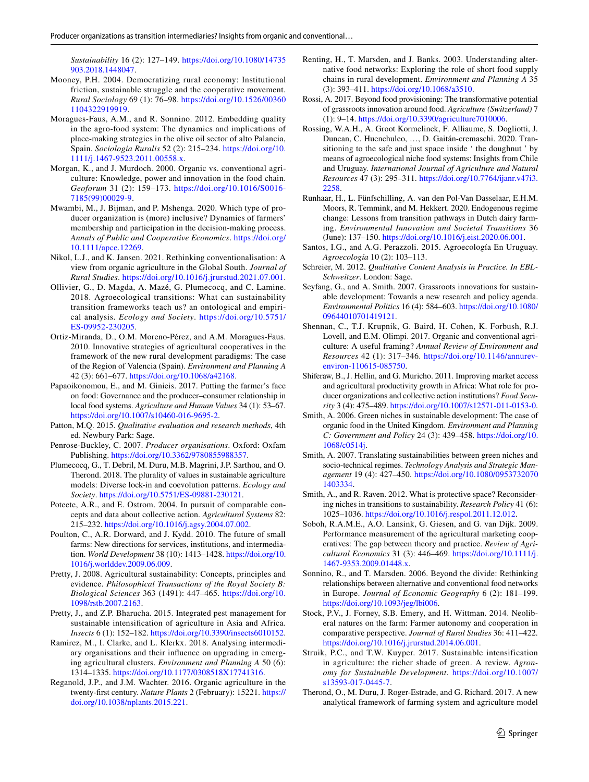*Sustainability* 16 (2): 127–149. [https://doi.org/10.1080/14735](https://doi.org/10.1080/14735903.2018.1448047) [903.2018.1448047.](https://doi.org/10.1080/14735903.2018.1448047)

- <span id="page-22-24"></span>Mooney, P.H. 2004. Democratizing rural economy: Institutional friction, sustainable struggle and the cooperative movement. *Rural Sociology* 69 (1): 76–98. [https://doi.org/10.1526/00360](https://doi.org/10.1526/003601104322919919) [1104322919919.](https://doi.org/10.1526/003601104322919919)
- <span id="page-22-27"></span>Moragues-Faus, A.M., and R. Sonnino. 2012. Embedding quality in the agro-food system: The dynamics and implications of place-making strategies in the olive oil sector of alto Palancia, Spain. *Sociologia Ruralis* 52 (2): 215–234. [https://doi.org/10.](https://doi.org/10.1111/j.1467-9523.2011.00558.x) [1111/j.1467-9523.2011.00558.x.](https://doi.org/10.1111/j.1467-9523.2011.00558.x)
- <span id="page-22-21"></span>Morgan, K., and J. Murdoch. 2000. Organic vs. conventional agriculture: Knowledge, power and innovation in the food chain. *Geoforum* 31 (2): 159–173. [https://doi.org/10.1016/S0016-](https://doi.org/10.1016/S0016-7185(99)00029-9) [7185\(99\)00029-9](https://doi.org/10.1016/S0016-7185(99)00029-9).
- <span id="page-22-25"></span>Mwambi, M., J. Bijman, and P. Mshenga. 2020. Which type of producer organization is (more) inclusive? Dynamics of farmers' membership and participation in the decision-making process. *Annals of Public and Cooperative Economics*. [https://doi.org/](https://doi.org/10.1111/apce.12269) [10.1111/apce.12269](https://doi.org/10.1111/apce.12269).
- <span id="page-22-18"></span>Nikol, L.J., and K. Jansen. 2021. Rethinking conventionalisation: A view from organic agriculture in the Global South. *Journal of Rural Studies*. <https://doi.org/10.1016/j.jrurstud.2021.07.001>.
- <span id="page-22-9"></span>Ollivier, G., D. Magda, A. Mazé, G. Plumecocq, and C. Lamine. 2018. Agroecological transitions: What can sustainability transition frameworks teach us? an ontological and empirical analysis. *Ecology and Society*. [https://doi.org/10.5751/](https://doi.org/10.5751/ES-09952-230205) [ES-09952-230205](https://doi.org/10.5751/ES-09952-230205).
- <span id="page-22-23"></span>Ortiz-Miranda, D., O.M. Moreno-Pérez, and A.M. Moragues-Faus. 2010. Innovative strategies of agricultural cooperatives in the framework of the new rural development paradigms: The case of the Region of Valencia (Spain). *Environment and Planning A* 42 (3): 661–677.<https://doi.org/10.1068/a42168>.
- <span id="page-22-4"></span>Papaoikonomou, E., and M. Ginieis. 2017. Putting the farmer's face on food: Governance and the producer–consumer relationship in local food systems. *Agriculture and Human Values* 34 (1): 53–67. <https://doi.org/10.1007/s10460-016-9695-2>.
- <span id="page-22-28"></span>Patton, M.Q. 2015. *Qualitative evaluation and research methods*, 4th ed. Newbury Park: Sage.
- <span id="page-22-26"></span>Penrose-Buckley, C. 2007. *Producer organisations*. Oxford: Oxfam Publishing. [https://doi.org/10.3362/9780855988357.](https://doi.org/10.3362/9780855988357)
- <span id="page-22-13"></span>Plumecocq, G., T. Debril, M. Duru, M.B. Magrini, J.P. Sarthou, and O. Therond. 2018. The plurality of values in sustainable agriculture models: Diverse lock-in and coevolution patterns. *Ecology and Society*. [https://doi.org/10.5751/ES-09881-230121.](https://doi.org/10.5751/ES-09881-230121)
- <span id="page-22-32"></span>Poteete, A.R., and E. Ostrom. 2004. In pursuit of comparable concepts and data about collective action. *Agricultural Systems* 82: 215–232. [https://doi.org/10.1016/j.agsy.2004.07.002.](https://doi.org/10.1016/j.agsy.2004.07.002)
- <span id="page-22-1"></span>Poulton, C., A.R. Dorward, and J. Kydd. 2010. The future of small farms: New directions for services, institutions, and intermediation. *World Development* 38 (10): 1413–1428. [https://doi.org/10.](https://doi.org/10.1016/j.worlddev.2009.06.009) [1016/j.worlddev.2009.06.009](https://doi.org/10.1016/j.worlddev.2009.06.009).
- <span id="page-22-7"></span>Pretty, J. 2008. Agricultural sustainability: Concepts, principles and evidence. *Philosophical Transactions of the Royal Society B: Biological Sciences* 363 (1491): 447–465. [https://doi.org/10.](https://doi.org/10.1098/rstb.2007.2163) [1098/rstb.2007.2163.](https://doi.org/10.1098/rstb.2007.2163)
- <span id="page-22-19"></span>Pretty, J., and Z.P. Bharucha. 2015. Integrated pest management for sustainable intensifcation of agriculture in Asia and Africa. *Insects* 6 (1): 152–182.<https://doi.org/10.3390/insects6010152>.
- <span id="page-22-2"></span>Ramirez, M., I. Clarke, and L. Klerkx. 2018. Analysing intermediary organisations and their infuence on upgrading in emerging agricultural clusters. *Environment and Planning A* 50 (6): 1314–1335.<https://doi.org/10.1177/0308518X17741316>.
- <span id="page-22-6"></span>Reganold, J.P., and J.M. Wachter. 2016. Organic agriculture in the twenty-frst century. *Nature Plants* 2 (February): 15221. [https://](https://doi.org/10.1038/nplants.2015.221) [doi.org/10.1038/nplants.2015.221.](https://doi.org/10.1038/nplants.2015.221)
- <span id="page-22-10"></span>Renting, H., T. Marsden, and J. Banks. 2003. Understanding alternative food networks: Exploring the role of short food supply chains in rural development. *Environment and Planning A* 35 (3): 393–411. [https://doi.org/10.1068/a3510.](https://doi.org/10.1068/a3510)
- <span id="page-22-31"></span>Rossi, A. 2017. Beyond food provisioning: The transformative potential of grassroots innovation around food. *Agriculture (Switzerland)* 7 (1): 9–14. <https://doi.org/10.3390/agriculture7010006>.
- <span id="page-22-3"></span>Rossing, W.A.H., A. Groot Kormelinck, F. Alliaume, S. Dogliotti, J. Duncan, C. Huenchuleo, …, D. Gaitán-cremaschi. 2020. Transitioning to the safe and just space inside ' the doughnut ' by means of agroecological niche food systems: Insights from Chile and Uruguay. *International Journal of Agriculture and Natural Resources* 47 (3): 295–311. [https://doi.org/10.7764/ijanr.v47i3.](https://doi.org/10.7764/ijanr.v47i3.2258) [2258.](https://doi.org/10.7764/ijanr.v47i3.2258)
- <span id="page-22-15"></span>Runhaar, H., L. Fünfschilling, A. van den Pol-Van Dasselaar, E.H.M. Moors, R. Temmink, and M. Hekkert. 2020. Endogenous regime change: Lessons from transition pathways in Dutch dairy farming. *Environmental Innovation and Societal Transitions* 36 (June): 137–150. [https://doi.org/10.1016/j.eist.2020.06.001.](https://doi.org/10.1016/j.eist.2020.06.001)
- <span id="page-22-33"></span>Santos, I.G., and A.G. Perazzoli. 2015. Agroecología En Uruguay. *Agroecología* 10 (2): 103–113.
- <span id="page-22-29"></span>Schreier, M. 2012. *Qualitative Content Analysis in Practice. In EBL-Schweitzer*. London: Sage.
- <span id="page-22-30"></span>Seyfang, G., and A. Smith. 2007. Grassroots innovations for sustainable development: Towards a new research and policy agenda. *Environmental Politics* 16 (4): 584–603. [https://doi.org/10.1080/](https://doi.org/10.1080/09644010701419121) [09644010701419121.](https://doi.org/10.1080/09644010701419121)
- <span id="page-22-8"></span>Shennan, C., T.J. Krupnik, G. Baird, H. Cohen, K. Forbush, R.J. Lovell, and E.M. Olimpi. 2017. Organic and conventional agriculture: A useful framing? *Annual Review of Environment and Resources* 42 (1): 317–346. [https://doi.org/10.1146/annurev](https://doi.org/10.1146/annurev-environ-110615-085750)[environ-110615-085750.](https://doi.org/10.1146/annurev-environ-110615-085750)
- <span id="page-22-0"></span>Shiferaw, B., J. Hellin, and G. Muricho. 2011. Improving market access and agricultural productivity growth in Africa: What role for producer organizations and collective action institutions? *Food Security* 3 (4): 475–489. <https://doi.org/10.1007/s12571-011-0153-0>.
- <span id="page-22-16"></span>Smith, A. 2006. Green niches in sustainable development: The case of organic food in the United Kingdom. *Environment and Planning C: Government and Policy* 24 (3): 439–458. [https://doi.org/10.](https://doi.org/10.1068/c0514j) [1068/c0514j.](https://doi.org/10.1068/c0514j)
- <span id="page-22-17"></span>Smith, A. 2007. Translating sustainabilities between green niches and socio-technical regimes. *Technology Analysis and Strategic Management* 19 (4): 427–450. [https://doi.org/10.1080/0953732070](https://doi.org/10.1080/09537320701403334) [1403334.](https://doi.org/10.1080/09537320701403334)
- <span id="page-22-14"></span>Smith, A., and R. Raven. 2012. What is protective space? Reconsidering niches in transitions to sustainability. *Research Policy* 41 (6): 1025–1036. <https://doi.org/10.1016/j.respol.2011.12.012>.
- <span id="page-22-22"></span>Soboh, R.A.M.E., A.O. Lansink, G. Giesen, and G. van Dijk. 2009. Performance measurement of the agricultural marketing cooperatives: The gap between theory and practice. *Review of Agricultural Economics* 31 (3): 446–469. [https://doi.org/10.1111/j.](https://doi.org/10.1111/j.1467-9353.2009.01448.x) [1467-9353.2009.01448.x](https://doi.org/10.1111/j.1467-9353.2009.01448.x).
- <span id="page-22-11"></span>Sonnino, R., and T. Marsden. 2006. Beyond the divide: Rethinking relationships between alternative and conventional food networks in Europe. *Journal of Economic Geography* 6 (2): 181–199. [https://doi.org/10.1093/jeg/lbi006.](https://doi.org/10.1093/jeg/lbi006)
- <span id="page-22-5"></span>Stock, P.V., J. Forney, S.B. Emery, and H. Wittman. 2014. Neoliberal natures on the farm: Farmer autonomy and cooperation in comparative perspective. *Journal of Rural Studies* 36: 411–422. <https://doi.org/10.1016/j.jrurstud.2014.06.001>.
- <span id="page-22-20"></span>Struik, P.C., and T.W. Kuyper. 2017. Sustainable intensification in agriculture: the richer shade of green. A review. *Agronomy for Sustainable Development*. [https://doi.org/10.1007/](https://doi.org/10.1007/s13593-017-0445-7) [s13593-017-0445-7](https://doi.org/10.1007/s13593-017-0445-7).
- <span id="page-22-12"></span>Therond, O., M. Duru, J. Roger-Estrade, and G. Richard. 2017. A new analytical framework of farming system and agriculture model